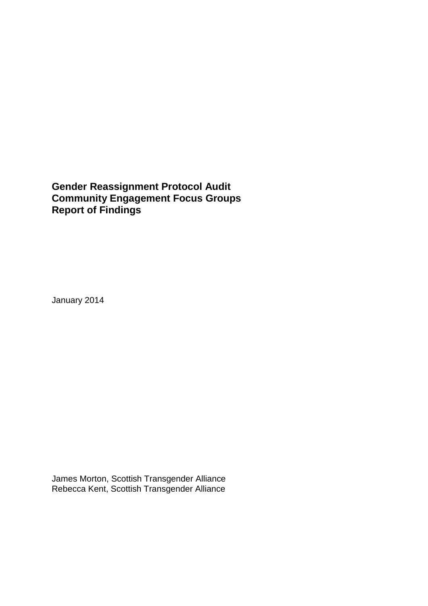## **Gender Reassignment Protocol Audit Community Engagement Focus Groups Report of Findings**

January 2014

James Morton, Scottish Transgender Alliance Rebecca Kent, Scottish Transgender Alliance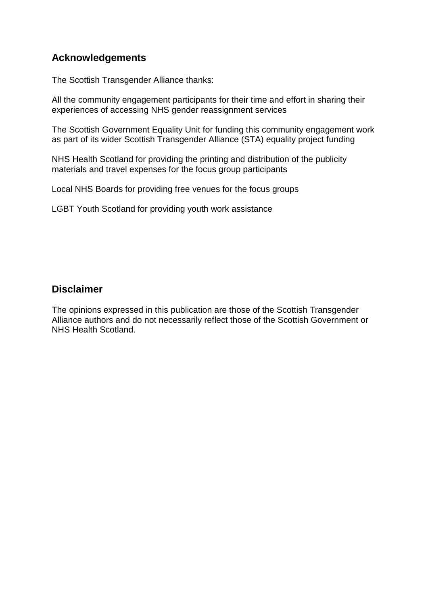## **Acknowledgements**

The Scottish Transgender Alliance thanks:

All the community engagement participants for their time and effort in sharing their experiences of accessing NHS gender reassignment services

The Scottish Government Equality Unit for funding this community engagement work as part of its wider Scottish Transgender Alliance (STA) equality project funding

NHS Health Scotland for providing the printing and distribution of the publicity materials and travel expenses for the focus group participants

Local NHS Boards for providing free venues for the focus groups

LGBT Youth Scotland for providing youth work assistance

## **Disclaimer**

The opinions expressed in this publication are those of the Scottish Transgender Alliance authors and do not necessarily reflect those of the Scottish Government or NHS Health Scotland.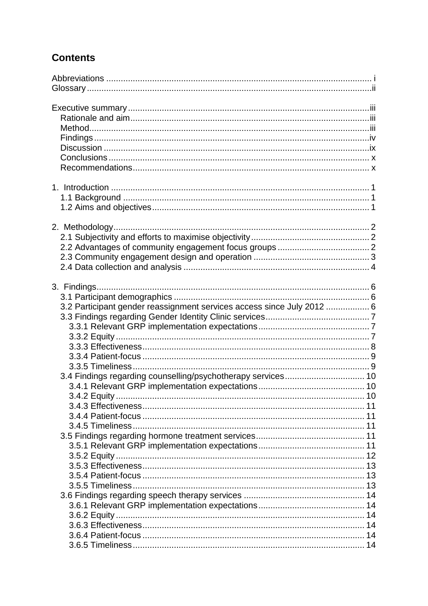# **Contents**

| 3.2 Participant gender reassignment services access since July 2012  6 |  |
|------------------------------------------------------------------------|--|
| 3.4 Findings regarding counselling/psychotherapy services 10           |  |
|                                                                        |  |
|                                                                        |  |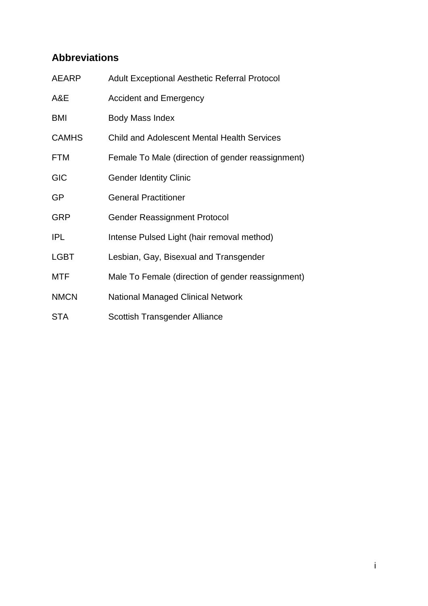# <span id="page-4-0"></span>**Abbreviations**

| <b>AEARP</b> | Adult Exceptional Aesthetic Referral Protocol      |
|--------------|----------------------------------------------------|
| A&E          | <b>Accident and Emergency</b>                      |
| BMI          | Body Mass Index                                    |
| <b>CAMHS</b> | <b>Child and Adolescent Mental Health Services</b> |
| <b>FTM</b>   | Female To Male (direction of gender reassignment)  |
| <b>GIC</b>   | <b>Gender Identity Clinic</b>                      |
| <b>GP</b>    | <b>General Practitioner</b>                        |
| <b>GRP</b>   | <b>Gender Reassignment Protocol</b>                |
| <b>IPL</b>   | Intense Pulsed Light (hair removal method)         |
| <b>LGBT</b>  | Lesbian, Gay, Bisexual and Transgender             |
| MTF          | Male To Female (direction of gender reassignment)  |
| <b>NMCN</b>  | <b>National Managed Clinical Network</b>           |
| <b>STA</b>   | Scottish Transgender Alliance                      |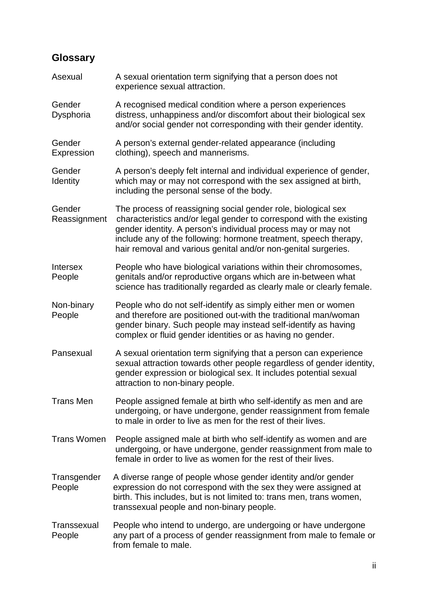# <span id="page-5-0"></span>**Glossary**

| Asexual                   | A sexual orientation term signifying that a person does not<br>experience sexual attraction.                                                                                                                                                                                                                                                |
|---------------------------|---------------------------------------------------------------------------------------------------------------------------------------------------------------------------------------------------------------------------------------------------------------------------------------------------------------------------------------------|
| Gender<br>Dysphoria       | A recognised medical condition where a person experiences<br>distress, unhappiness and/or discomfort about their biological sex<br>and/or social gender not corresponding with their gender identity.                                                                                                                                       |
| Gender<br>Expression      | A person's external gender-related appearance (including<br>clothing), speech and mannerisms.                                                                                                                                                                                                                                               |
| Gender<br>Identity        | A person's deeply felt internal and individual experience of gender,<br>which may or may not correspond with the sex assigned at birth,<br>including the personal sense of the body.                                                                                                                                                        |
| Gender<br>Reassignment    | The process of reassigning social gender role, biological sex<br>characteristics and/or legal gender to correspond with the existing<br>gender identity. A person's individual process may or may not<br>include any of the following: hormone treatment, speech therapy,<br>hair removal and various genital and/or non-genital surgeries. |
| <b>Intersex</b><br>People | People who have biological variations within their chromosomes,<br>genitals and/or reproductive organs which are in-between what<br>science has traditionally regarded as clearly male or clearly female.                                                                                                                                   |
| Non-binary<br>People      | People who do not self-identify as simply either men or women<br>and therefore are positioned out-with the traditional man/woman<br>gender binary. Such people may instead self-identify as having<br>complex or fluid gender identities or as having no gender.                                                                            |
| Pansexual                 | A sexual orientation term signifying that a person can experience<br>sexual attraction towards other people regardless of gender identity,<br>gender expression or biological sex. It includes potential sexual<br>attraction to non-binary people.                                                                                         |
| <b>Trans Men</b>          | People assigned female at birth who self-identify as men and are<br>undergoing, or have undergone, gender reassignment from female<br>to male in order to live as men for the rest of their lives.                                                                                                                                          |
| <b>Trans Women</b>        | People assigned male at birth who self-identify as women and are<br>undergoing, or have undergone, gender reassignment from male to<br>female in order to live as women for the rest of their lives.                                                                                                                                        |
| Transgender<br>People     | A diverse range of people whose gender identity and/or gender<br>expression do not correspond with the sex they were assigned at<br>birth. This includes, but is not limited to: trans men, trans women,<br>transsexual people and non-binary people.                                                                                       |
| Transsexual<br>People     | People who intend to undergo, are undergoing or have undergone<br>any part of a process of gender reassignment from male to female or<br>from female to male.                                                                                                                                                                               |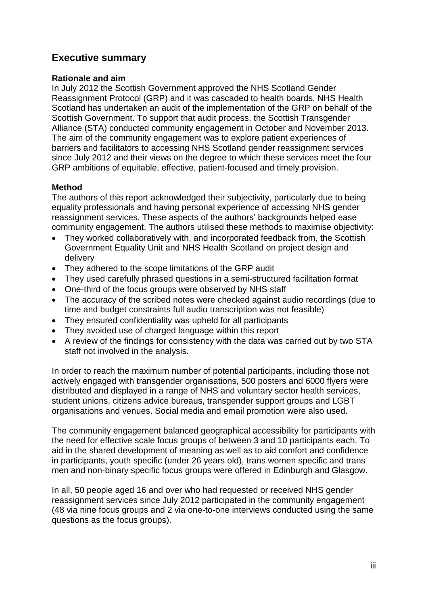## <span id="page-6-0"></span>**Executive summary**

#### <span id="page-6-1"></span>**Rationale and aim**

In July 2012 the Scottish Government approved the NHS Scotland Gender Reassignment Protocol (GRP) and it was cascaded to health boards. NHS Health Scotland has undertaken an audit of the implementation of the GRP on behalf of the Scottish Government. To support that audit process, the Scottish Transgender Alliance (STA) conducted community engagement in October and November 2013. The aim of the community engagement was to explore patient experiences of barriers and facilitators to accessing NHS Scotland gender reassignment services since July 2012 and their views on the degree to which these services meet the four GRP ambitions of equitable, effective, patient-focused and timely provision.

### <span id="page-6-2"></span>**Method**

The authors of this report acknowledged their subjectivity, particularly due to being equality professionals and having personal experience of accessing NHS gender reassignment services. These aspects of the authors' backgrounds helped ease community engagement. The authors utilised these methods to maximise objectivity:

- They worked collaboratively with, and incorporated feedback from, the Scottish Government Equality Unit and NHS Health Scotland on project design and delivery
- They adhered to the scope limitations of the GRP audit
- They used carefully phrased questions in a semi-structured facilitation format
- One-third of the focus groups were observed by NHS staff
- The accuracy of the scribed notes were checked against audio recordings (due to time and budget constraints full audio transcription was not feasible)
- They ensured confidentiality was upheld for all participants
- They avoided use of charged language within this report
- A review of the findings for consistency with the data was carried out by two STA staff not involved in the analysis.

In order to reach the maximum number of potential participants, including those not actively engaged with transgender organisations, 500 posters and 6000 flyers were distributed and displayed in a range of NHS and voluntary sector health services, student unions, citizens advice bureaus, transgender support groups and LGBT organisations and venues. Social media and email promotion were also used.

The community engagement balanced geographical accessibility for participants with the need for effective scale focus groups of between 3 and 10 participants each. To aid in the shared development of meaning as well as to aid comfort and confidence in participants, youth specific (under 26 years old), trans women specific and trans men and non-binary specific focus groups were offered in Edinburgh and Glasgow.

In all, 50 people aged 16 and over who had requested or received NHS gender reassignment services since July 2012 participated in the community engagement (48 via nine focus groups and 2 via one-to-one interviews conducted using the same questions as the focus groups).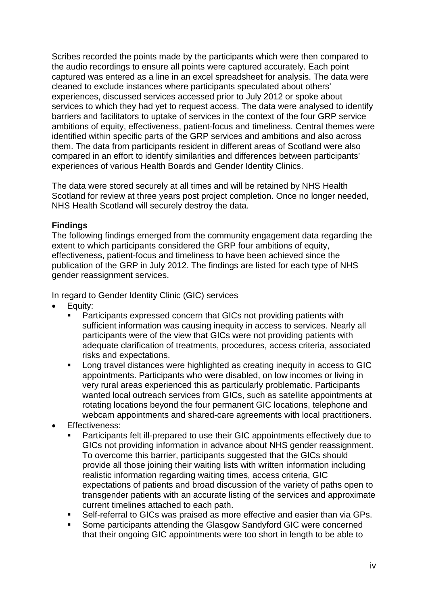Scribes recorded the points made by the participants which were then compared to the audio recordings to ensure all points were captured accurately. Each point captured was entered as a line in an excel spreadsheet for analysis. The data were cleaned to exclude instances where participants speculated about others' experiences, discussed services accessed prior to July 2012 or spoke about services to which they had yet to request access. The data were analysed to identify barriers and facilitators to uptake of services in the context of the four GRP service ambitions of equity, effectiveness, patient-focus and timeliness. Central themes were identified within specific parts of the GRP services and ambitions and also across them. The data from participants resident in different areas of Scotland were also compared in an effort to identify similarities and differences between participants' experiences of various Health Boards and Gender Identity Clinics.

The data were stored securely at all times and will be retained by NHS Health Scotland for review at three years post project completion. Once no longer needed, NHS Health Scotland will securely destroy the data.

### <span id="page-7-0"></span>**Findings**

The following findings emerged from the community engagement data regarding the extent to which participants considered the GRP four ambitions of equity, effectiveness, patient-focus and timeliness to have been achieved since the publication of the GRP in July 2012. The findings are listed for each type of NHS gender reassignment services.

In regard to Gender Identity Clinic (GIC) services

- Equity:
	- Participants expressed concern that GICs not providing patients with sufficient information was causing inequity in access to services. Nearly all participants were of the view that GICs were not providing patients with adequate clarification of treatments, procedures, access criteria, associated risks and expectations.
	- **EXECT** Long travel distances were highlighted as creating inequity in access to GIC appointments. Participants who were disabled, on low incomes or living in very rural areas experienced this as particularly problematic. Participants wanted local outreach services from GICs, such as satellite appointments at rotating locations beyond the four permanent GIC locations, telephone and webcam appointments and shared-care agreements with local practitioners.
- **Effectiveness:** 
	- Participants felt ill-prepared to use their GIC appointments effectively due to GICs not providing information in advance about NHS gender reassignment. To overcome this barrier, participants suggested that the GICs should provide all those joining their waiting lists with written information including realistic information regarding waiting times, access criteria, GIC expectations of patients and broad discussion of the variety of paths open to transgender patients with an accurate listing of the services and approximate current timelines attached to each path.
	- Self-referral to GICs was praised as more effective and easier than via GPs.
	- Some participants attending the Glasgow Sandyford GIC were concerned that their ongoing GIC appointments were too short in length to be able to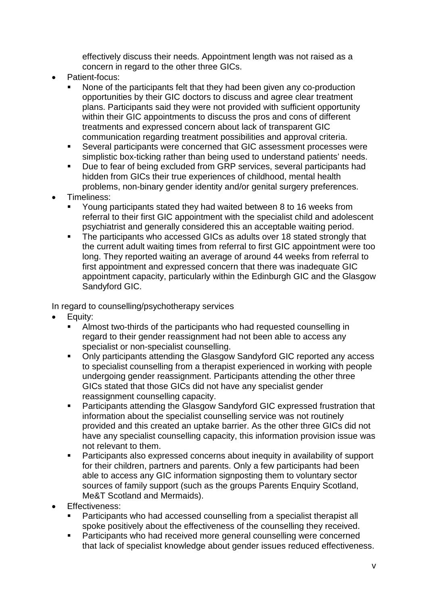effectively discuss their needs. Appointment length was not raised as a concern in regard to the other three GICs.

- Patient-focus:
	- None of the participants felt that they had been given any co-production opportunities by their GIC doctors to discuss and agree clear treatment plans. Participants said they were not provided with sufficient opportunity within their GIC appointments to discuss the pros and cons of different treatments and expressed concern about lack of transparent GIC communication regarding treatment possibilities and approval criteria.
	- Several participants were concerned that GIC assessment processes were simplistic box-ticking rather than being used to understand patients' needs.
	- Due to fear of being excluded from GRP services, several participants had hidden from GICs their true experiences of childhood, mental health problems, non-binary gender identity and/or genital surgery preferences.
- Timeliness:
	- Young participants stated they had waited between 8 to 16 weeks from referral to their first GIC appointment with the specialist child and adolescent psychiatrist and generally considered this an acceptable waiting period.
	- The participants who accessed GICs as adults over 18 stated strongly that the current adult waiting times from referral to first GIC appointment were too long. They reported waiting an average of around 44 weeks from referral to first appointment and expressed concern that there was inadequate GIC appointment capacity, particularly within the Edinburgh GIC and the Glasgow Sandyford GIC.

In regard to counselling/psychotherapy services

- Equity:
	- Almost two-thirds of the participants who had requested counselling in regard to their gender reassignment had not been able to access any specialist or non-specialist counselling.
	- Only participants attending the Glasgow Sandyford GIC reported any access to specialist counselling from a therapist experienced in working with people undergoing gender reassignment. Participants attending the other three GICs stated that those GICs did not have any specialist gender reassignment counselling capacity.
	- Participants attending the Glasgow Sandyford GIC expressed frustration that information about the specialist counselling service was not routinely provided and this created an uptake barrier. As the other three GICs did not have any specialist counselling capacity, this information provision issue was not relevant to them.
	- Participants also expressed concerns about inequity in availability of support for their children, partners and parents. Only a few participants had been able to access any GIC information signposting them to voluntary sector sources of family support (such as the groups Parents Enquiry Scotland, Me&T Scotland and Mermaids).
- **Effectiveness:** 
	- Participants who had accessed counselling from a specialist therapist all spoke positively about the effectiveness of the counselling they received.
	- Participants who had received more general counselling were concerned that lack of specialist knowledge about gender issues reduced effectiveness.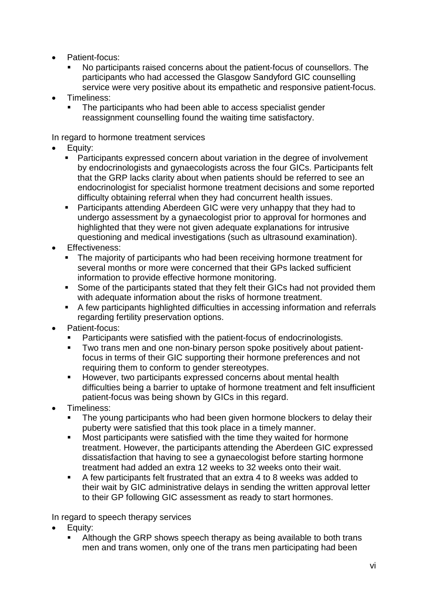- Patient-focus:
	- No participants raised concerns about the patient-focus of counsellors. The participants who had accessed the Glasgow Sandyford GIC counselling service were very positive about its empathetic and responsive patient-focus.
- Timeliness:
	- The participants who had been able to access specialist gender reassignment counselling found the waiting time satisfactory.

In regard to hormone treatment services

- Equity:
	- Participants expressed concern about variation in the degree of involvement by endocrinologists and gynaecologists across the four GICs. Participants felt that the GRP lacks clarity about when patients should be referred to see an endocrinologist for specialist hormone treatment decisions and some reported difficulty obtaining referral when they had concurrent health issues.
	- Participants attending Aberdeen GIC were very unhappy that they had to undergo assessment by a gynaecologist prior to approval for hormones and highlighted that they were not given adequate explanations for intrusive questioning and medical investigations (such as ultrasound examination).
- Effectiveness:
	- The majority of participants who had been receiving hormone treatment for several months or more were concerned that their GPs lacked sufficient information to provide effective hormone monitoring.
	- Some of the participants stated that they felt their GICs had not provided them with adequate information about the risks of hormone treatment.
	- A few participants highlighted difficulties in accessing information and referrals regarding fertility preservation options.
- Patient-focus:
	- Participants were satisfied with the patient-focus of endocrinologists.
	- Two trans men and one non-binary person spoke positively about patientfocus in terms of their GIC supporting their hormone preferences and not requiring them to conform to gender stereotypes.
	- **However, two participants expressed concerns about mental health** difficulties being a barrier to uptake of hormone treatment and felt insufficient patient-focus was being shown by GICs in this regard.
- Timeliness:
	- The young participants who had been given hormone blockers to delay their puberty were satisfied that this took place in a timely manner.
	- **Most participants were satisfied with the time they waited for hormone** treatment. However, the participants attending the Aberdeen GIC expressed dissatisfaction that having to see a gynaecologist before starting hormone treatment had added an extra 12 weeks to 32 weeks onto their wait.
	- A few participants felt frustrated that an extra 4 to 8 weeks was added to their wait by GIC administrative delays in sending the written approval letter to their GP following GIC assessment as ready to start hormones.

In regard to speech therapy services

- Equity:
	- Although the GRP shows speech therapy as being available to both trans men and trans women, only one of the trans men participating had been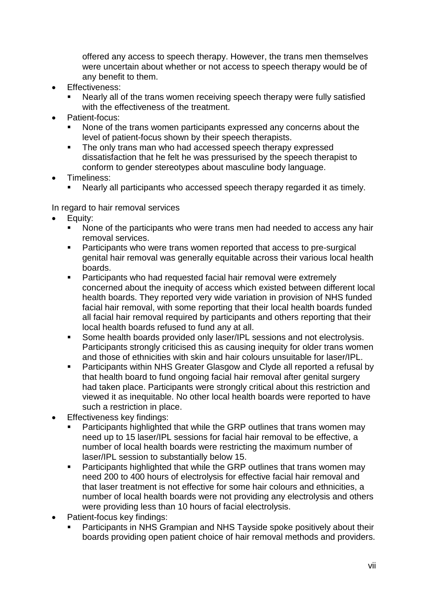offered any access to speech therapy. However, the trans men themselves were uncertain about whether or not access to speech therapy would be of any benefit to them.

- **Effectiveness:** 
	- Nearly all of the trans women receiving speech therapy were fully satisfied with the effectiveness of the treatment.
- Patient-focus:
	- None of the trans women participants expressed any concerns about the level of patient-focus shown by their speech therapists.
	- The only trans man who had accessed speech therapy expressed dissatisfaction that he felt he was pressurised by the speech therapist to conform to gender stereotypes about masculine body language.
- Timeliness:
	- Nearly all participants who accessed speech therapy regarded it as timely.

In regard to hair removal services

- Equity:
	- None of the participants who were trans men had needed to access any hair removal services.
	- Participants who were trans women reported that access to pre-surgical genital hair removal was generally equitable across their various local health boards.
	- **Participants who had requested facial hair removal were extremely** concerned about the inequity of access which existed between different local health boards. They reported very wide variation in provision of NHS funded facial hair removal, with some reporting that their local health boards funded all facial hair removal required by participants and others reporting that their local health boards refused to fund any at all.
	- **Some health boards provided only laser/IPL sessions and not electrolysis.** Participants strongly criticised this as causing inequity for older trans women and those of ethnicities with skin and hair colours unsuitable for laser/IPL.
	- Participants within NHS Greater Glasgow and Clyde all reported a refusal by that health board to fund ongoing facial hair removal after genital surgery had taken place. Participants were strongly critical about this restriction and viewed it as inequitable. No other local health boards were reported to have such a restriction in place.
- Effectiveness key findings:
	- Participants highlighted that while the GRP outlines that trans women may need up to 15 laser/IPL sessions for facial hair removal to be effective, a number of local health boards were restricting the maximum number of laser/IPL session to substantially below 15.
	- Participants highlighted that while the GRP outlines that trans women may need 200 to 400 hours of electrolysis for effective facial hair removal and that laser treatment is not effective for some hair colours and ethnicities, a number of local health boards were not providing any electrolysis and others were providing less than 10 hours of facial electrolysis.
- Patient-focus key findings:
	- Participants in NHS Grampian and NHS Tayside spoke positively about their boards providing open patient choice of hair removal methods and providers.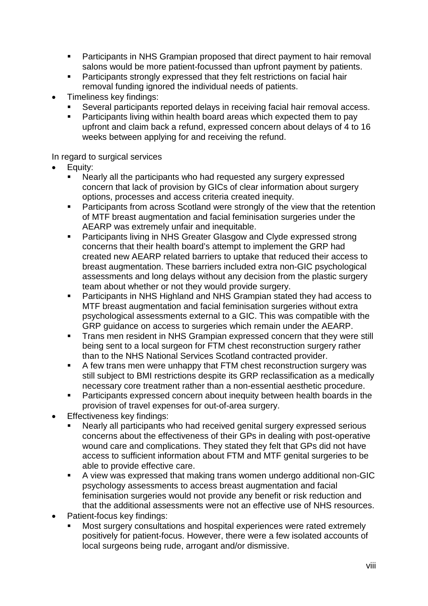- **Participants in NHS Grampian proposed that direct payment to hair removal** salons would be more patient-focussed than upfront payment by patients.
- **Participants strongly expressed that they felt restrictions on facial hair** removal funding ignored the individual needs of patients.
- Timeliness key findings:
	- Several participants reported delays in receiving facial hair removal access.
	- **•** Participants living within health board areas which expected them to pay upfront and claim back a refund, expressed concern about delays of 4 to 16 weeks between applying for and receiving the refund.

### In regard to surgical services

- Equity:
	- Nearly all the participants who had requested any surgery expressed concern that lack of provision by GICs of clear information about surgery options, processes and access criteria created inequity.
	- **Participants from across Scotland were strongly of the view that the retention** of MTF breast augmentation and facial feminisation surgeries under the AEARP was extremely unfair and inequitable.
	- **Participants living in NHS Greater Glasgow and Clyde expressed strong** concerns that their health board's attempt to implement the GRP had created new AEARP related barriers to uptake that reduced their access to breast augmentation. These barriers included extra non-GIC psychological assessments and long delays without any decision from the plastic surgery team about whether or not they would provide surgery.
	- Participants in NHS Highland and NHS Grampian stated they had access to MTF breast augmentation and facial feminisation surgeries without extra psychological assessments external to a GIC. This was compatible with the GRP guidance on access to surgeries which remain under the AEARP.
	- **Trans men resident in NHS Grampian expressed concern that they were still** being sent to a local surgeon for FTM chest reconstruction surgery rather than to the NHS National Services Scotland contracted provider.
	- A few trans men were unhappy that FTM chest reconstruction surgery was still subject to BMI restrictions despite its GRP reclassification as a medically necessary core treatment rather than a non-essential aesthetic procedure.
	- Participants expressed concern about inequity between health boards in the provision of travel expenses for out-of-area surgery.
- Effectiveness key findings:
	- Nearly all participants who had received genital surgery expressed serious concerns about the effectiveness of their GPs in dealing with post-operative wound care and complications. They stated they felt that GPs did not have access to sufficient information about FTM and MTF genital surgeries to be able to provide effective care.
	- A view was expressed that making trans women undergo additional non-GIC psychology assessments to access breast augmentation and facial feminisation surgeries would not provide any benefit or risk reduction and that the additional assessments were not an effective use of NHS resources.
- Patient-focus key findings:
	- Most surgery consultations and hospital experiences were rated extremely positively for patient-focus. However, there were a few isolated accounts of local surgeons being rude, arrogant and/or dismissive.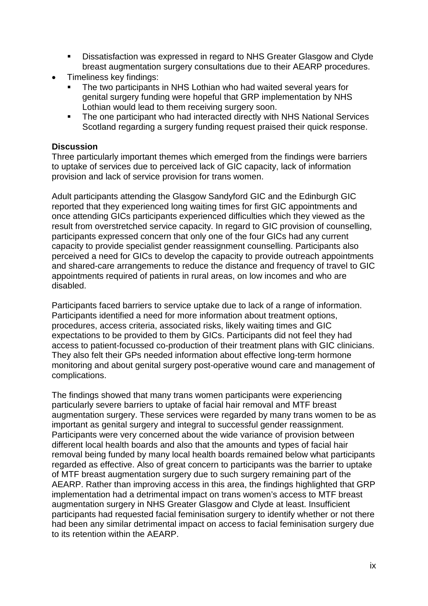- Dissatisfaction was expressed in regard to NHS Greater Glasgow and Clyde breast augmentation surgery consultations due to their AEARP procedures.
- Timeliness key findings:
	- The two participants in NHS Lothian who had waited several years for genital surgery funding were hopeful that GRP implementation by NHS Lothian would lead to them receiving surgery soon.
	- The one participant who had interacted directly with NHS National Services Scotland regarding a surgery funding request praised their quick response.

#### <span id="page-12-0"></span>**Discussion**

Three particularly important themes which emerged from the findings were barriers to uptake of services due to perceived lack of GIC capacity, lack of information provision and lack of service provision for trans women.

Adult participants attending the Glasgow Sandyford GIC and the Edinburgh GIC reported that they experienced long waiting times for first GIC appointments and once attending GICs participants experienced difficulties which they viewed as the result from overstretched service capacity. In regard to GIC provision of counselling, participants expressed concern that only one of the four GICs had any current capacity to provide specialist gender reassignment counselling. Participants also perceived a need for GICs to develop the capacity to provide outreach appointments and shared-care arrangements to reduce the distance and frequency of travel to GIC appointments required of patients in rural areas, on low incomes and who are disabled.

Participants faced barriers to service uptake due to lack of a range of information. Participants identified a need for more information about treatment options, procedures, access criteria, associated risks, likely waiting times and GIC expectations to be provided to them by GICs. Participants did not feel they had access to patient-focussed co-production of their treatment plans with GIC clinicians. They also felt their GPs needed information about effective long-term hormone monitoring and about genital surgery post-operative wound care and management of complications.

The findings showed that many trans women participants were experiencing particularly severe barriers to uptake of facial hair removal and MTF breast augmentation surgery. These services were regarded by many trans women to be as important as genital surgery and integral to successful gender reassignment. Participants were very concerned about the wide variance of provision between different local health boards and also that the amounts and types of facial hair removal being funded by many local health boards remained below what participants regarded as effective. Also of great concern to participants was the barrier to uptake of MTF breast augmentation surgery due to such surgery remaining part of the AEARP. Rather than improving access in this area, the findings highlighted that GRP implementation had a detrimental impact on trans women's access to MTF breast augmentation surgery in NHS Greater Glasgow and Clyde at least. Insufficient participants had requested facial feminisation surgery to identify whether or not there had been any similar detrimental impact on access to facial feminisation surgery due to its retention within the AEARP.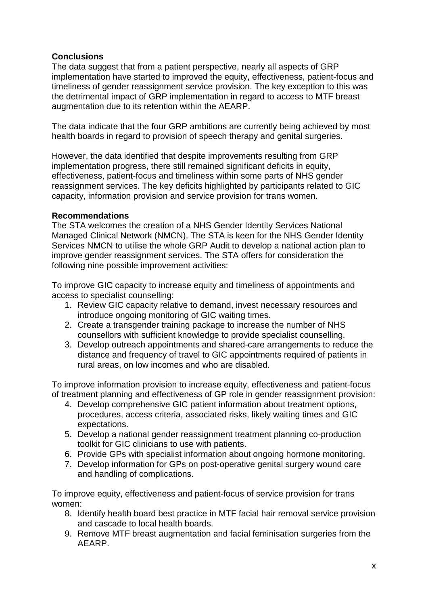### <span id="page-13-0"></span>**Conclusions**

The data suggest that from a patient perspective, nearly all aspects of GRP implementation have started to improved the equity, effectiveness, patient-focus and timeliness of gender reassignment service provision. The key exception to this was the detrimental impact of GRP implementation in regard to access to MTF breast augmentation due to its retention within the AEARP.

The data indicate that the four GRP ambitions are currently being achieved by most health boards in regard to provision of speech therapy and genital surgeries.

However, the data identified that despite improvements resulting from GRP implementation progress, there still remained significant deficits in equity, effectiveness, patient-focus and timeliness within some parts of NHS gender reassignment services. The key deficits highlighted by participants related to GIC capacity, information provision and service provision for trans women.

#### <span id="page-13-1"></span>**Recommendations**

The STA welcomes the creation of a NHS Gender Identity Services National Managed Clinical Network (NMCN). The STA is keen for the NHS Gender Identity Services NMCN to utilise the whole GRP Audit to develop a national action plan to improve gender reassignment services. The STA offers for consideration the following nine possible improvement activities:

To improve GIC capacity to increase equity and timeliness of appointments and access to specialist counselling:

- 1. Review GIC capacity relative to demand, invest necessary resources and introduce ongoing monitoring of GIC waiting times.
- 2. Create a transgender training package to increase the number of NHS counsellors with sufficient knowledge to provide specialist counselling.
- 3. Develop outreach appointments and shared-care arrangements to reduce the distance and frequency of travel to GIC appointments required of patients in rural areas, on low incomes and who are disabled.

To improve information provision to increase equity, effectiveness and patient-focus of treatment planning and effectiveness of GP role in gender reassignment provision:

- 4. Develop comprehensive GIC patient information about treatment options, procedures, access criteria, associated risks, likely waiting times and GIC expectations.
- 5. Develop a national gender reassignment treatment planning co-production toolkit for GIC clinicians to use with patients.
- 6. Provide GPs with specialist information about ongoing hormone monitoring.
- 7. Develop information for GPs on post-operative genital surgery wound care and handling of complications.

To improve equity, effectiveness and patient-focus of service provision for trans women:

- 8. Identify health board best practice in MTF facial hair removal service provision and cascade to local health boards.
- 9. Remove MTF breast augmentation and facial feminisation surgeries from the AEARP.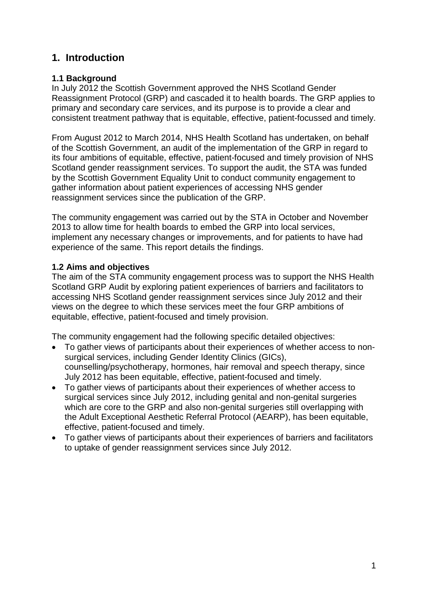## <span id="page-14-0"></span>**1. Introduction**

### <span id="page-14-1"></span>**1.1 Background**

In July 2012 the Scottish Government approved the NHS Scotland Gender Reassignment Protocol (GRP) and cascaded it to health boards. The GRP applies to primary and secondary care services, and its purpose is to provide a clear and consistent treatment pathway that is equitable, effective, patient-focussed and timely.

From August 2012 to March 2014, NHS Health Scotland has undertaken, on behalf of the Scottish Government, an audit of the implementation of the GRP in regard to its four ambitions of equitable, effective, patient-focused and timely provision of NHS Scotland gender reassignment services. To support the audit, the STA was funded by the Scottish Government Equality Unit to conduct community engagement to gather information about patient experiences of accessing NHS gender reassignment services since the publication of the GRP.

The community engagement was carried out by the STA in October and November 2013 to allow time for health boards to embed the GRP into local services, implement any necessary changes or improvements, and for patients to have had experience of the same. This report details the findings.

## <span id="page-14-2"></span>**1.2 Aims and objectives**

The aim of the STA community engagement process was to support the NHS Health Scotland GRP Audit by exploring patient experiences of barriers and facilitators to accessing NHS Scotland gender reassignment services since July 2012 and their views on the degree to which these services meet the four GRP ambitions of equitable, effective, patient-focused and timely provision.

The community engagement had the following specific detailed objectives:

- To gather views of participants about their experiences of whether access to nonsurgical services, including Gender Identity Clinics (GICs), counselling/psychotherapy, hormones, hair removal and speech therapy, since July 2012 has been equitable, effective, patient-focused and timely.
- To gather views of participants about their experiences of whether access to surgical services since July 2012, including genital and non-genital surgeries which are core to the GRP and also non-genital surgeries still overlapping with the Adult Exceptional Aesthetic Referral Protocol (AEARP), has been equitable, effective, patient-focused and timely.
- To gather views of participants about their experiences of barriers and facilitators to uptake of gender reassignment services since July 2012.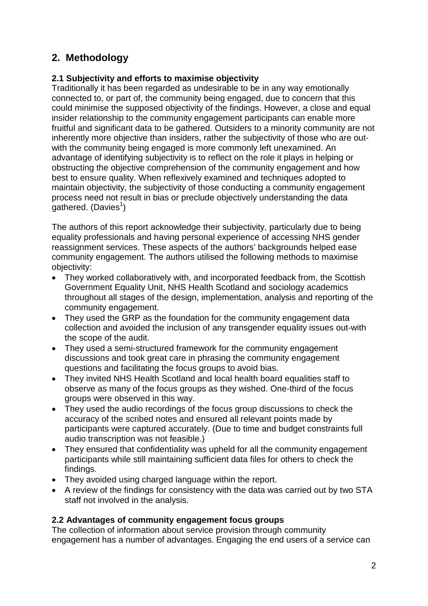## <span id="page-15-0"></span>**2. Methodology**

## <span id="page-15-1"></span>**2.1 Subjectivity and efforts to maximise objectivity**

Traditionally it has been regarded as undesirable to be in any way emotionally connected to, or part of, the community being engaged, due to concern that this could minimise the supposed objectivity of the findings. However, a close and equal insider relationship to the community engagement participants can enable more fruitful and significant data to be gathered. Outsiders to a minority community are not inherently more objective than insiders, rather the subjectivity of those who are outwith the community being engaged is more commonly left unexamined. An advantage of identifying subjectivity is to reflect on the role it plays in helping or obstructing the objective comprehension of the community engagement and how best to ensure quality. When reflexively examined and techniques adopted to maintain objectivity, the subjectivity of those conducting a community engagement process need not result in bias or preclude objectively understanding the data  $g$ athered. [\(Davies](#page-40-0)<sup>1</sup>)

The authors of this report acknowledge their subjectivity, particularly due to being equality professionals and having personal experience of accessing NHS gender reassignment services. These aspects of the authors' backgrounds helped ease community engagement. The authors utilised the following methods to maximise objectivity:

- They worked collaboratively with, and incorporated feedback from, the Scottish Government Equality Unit, NHS Health Scotland and sociology academics throughout all stages of the design, implementation, analysis and reporting of the community engagement.
- They used the GRP as the foundation for the community engagement data collection and avoided the inclusion of any transgender equality issues out-with the scope of the audit.
- They used a semi-structured framework for the community engagement discussions and took great care in phrasing the community engagement questions and facilitating the focus groups to avoid bias.
- They invited NHS Health Scotland and local health board equalities staff to observe as many of the focus groups as they wished. One-third of the focus groups were observed in this way.
- They used the audio recordings of the focus group discussions to check the accuracy of the scribed notes and ensured all relevant points made by participants were captured accurately. (Due to time and budget constraints full audio transcription was not feasible.)
- They ensured that confidentiality was upheld for all the community engagement participants while still maintaining sufficient data files for others to check the findings.
- They avoided using charged language within the report.
- A review of the findings for consistency with the data was carried out by two STA staff not involved in the analysis.

## <span id="page-15-2"></span>**2.2 Advantages of community engagement focus groups**

The collection of information about service provision through community engagement has a number of advantages. Engaging the end users of a service can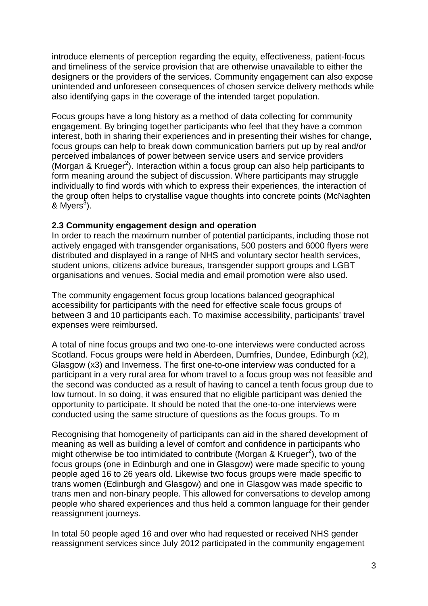introduce elements of perception regarding the equity, effectiveness, patient-focus and timeliness of the service provision that are otherwise unavailable to either the designers or the providers of the services. Community engagement can also expose unintended and unforeseen consequences of chosen service delivery methods while also identifying gaps in the coverage of the intended target population.

Focus groups have a long history as a method of data collecting for community engagement. By bringing together participants who feel that they have a common interest, both in sharing their experiences and in presenting their wishes for change, focus groups can help to break down communication barriers put up by real and/or perceived imbalances of power between service users and service providers (Morgan & Krueger<sup>2</sup>). Interaction within a focus group can also help participants to form meaning around the subject of discussion. Where participants may struggle individually to find words with which to express their experiences, the interaction of the group often helps to crystallise vague thoughts into concrete points [\(McNaghten](#page-40-0)  & Myers<sup>3</sup>).

#### <span id="page-16-0"></span>**2.3 Community engagement design and operation**

In order to reach the maximum number of potential participants, including those not actively engaged with transgender organisations, 500 posters and 6000 flyers were distributed and displayed in a range of NHS and voluntary sector health services, student unions, citizens advice bureaus, transgender support groups and LGBT organisations and venues. Social media and email promotion were also used.

The community engagement focus group locations balanced geographical accessibility for participants with the need for effective scale focus groups of between 3 and 10 participants each. To maximise accessibility, participants' travel expenses were reimbursed.

A total of nine focus groups and two one-to-one interviews were conducted across Scotland. Focus groups were held in Aberdeen, Dumfries, Dundee, Edinburgh (x2), Glasgow (x3) and Inverness. The first one-to-one interview was conducted for a participant in a very rural area for whom travel to a focus group was not feasible and the second was conducted as a result of having to cancel a tenth focus group due to low turnout. In so doing, it was ensured that no eligible participant was denied the opportunity to participate. It should be noted that the one-to-one interviews were conducted using the same structure of questions as the focus groups. To m

Recognising that homogeneity of participants can aid in the shared development of meaning as well as building a level of comfort and confidence in participants who might otherwise be too intimidated to contribute (Morgan & Krueger<sup>2</sup>), two of the focus groups (one in Edinburgh and one in Glasgow) were made specific to young people aged 16 to 26 years old. Likewise two focus groups were made specific to trans women (Edinburgh and Glasgow) and one in Glasgow was made specific to trans men and non-binary people. This allowed for conversations to develop among people who shared experiences and thus held a common language for their gender reassignment journeys.

In total 50 people aged 16 and over who had requested or received NHS gender reassignment services since July 2012 participated in the community engagement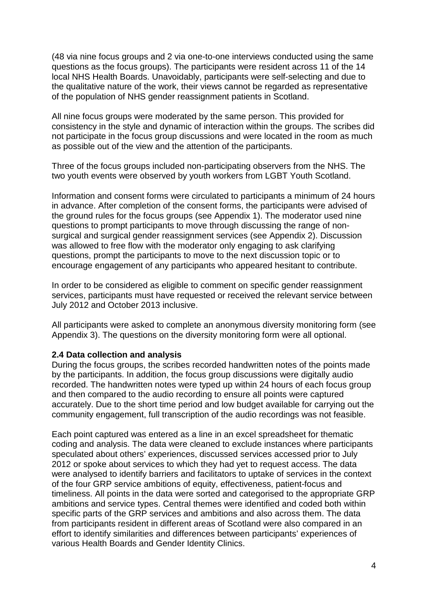(48 via nine focus groups and 2 via one-to-one interviews conducted using the same questions as the focus groups). The participants were resident across 11 of the 14 local NHS Health Boards. Unavoidably, participants were self-selecting and due to the qualitative nature of the work, their views cannot be regarded as representative of the population of NHS gender reassignment patients in Scotland.

All nine focus groups were moderated by the same person. This provided for consistency in the style and dynamic of interaction within the groups. The scribes did not participate in the focus group discussions and were located in the room as much as possible out of the view and the attention of the participants.

Three of the focus groups included non-participating observers from the NHS. The two youth events were observed by youth workers from LGBT Youth Scotland.

Information and consent forms were circulated to participants a minimum of 24 hours in advance. After completion of the consent forms, the participants were advised of the ground rules for the focus groups (see Appendix 1). The moderator used nine questions to prompt participants to move through discussing the range of nonsurgical and surgical gender reassignment services (see Appendix 2). Discussion was allowed to free flow with the moderator only engaging to ask clarifying questions, prompt the participants to move to the next discussion topic or to encourage engagement of any participants who appeared hesitant to contribute.

In order to be considered as eligible to comment on specific gender reassignment services, participants must have requested or received the relevant service between July 2012 and October 2013 inclusive.

All participants were asked to complete an anonymous diversity monitoring form (see Appendix 3). The questions on the diversity monitoring form were all optional.

#### <span id="page-17-0"></span>**2.4 Data collection and analysis**

During the focus groups, the scribes recorded handwritten notes of the points made by the participants. In addition, the focus group discussions were digitally audio recorded. The handwritten notes were typed up within 24 hours of each focus group and then compared to the audio recording to ensure all points were captured accurately. Due to the short time period and low budget available for carrying out the community engagement, full transcription of the audio recordings was not feasible.

Each point captured was entered as a line in an excel spreadsheet for thematic coding and analysis. The data were cleaned to exclude instances where participants speculated about others' experiences, discussed services accessed prior to July 2012 or spoke about services to which they had yet to request access. The data were analysed to identify barriers and facilitators to uptake of services in the context of the four GRP service ambitions of equity, effectiveness, patient-focus and timeliness. All points in the data were sorted and categorised to the appropriate GRP ambitions and service types. Central themes were identified and coded both within specific parts of the GRP services and ambitions and also across them. The data from participants resident in different areas of Scotland were also compared in an effort to identify similarities and differences between participants' experiences of various Health Boards and Gender Identity Clinics.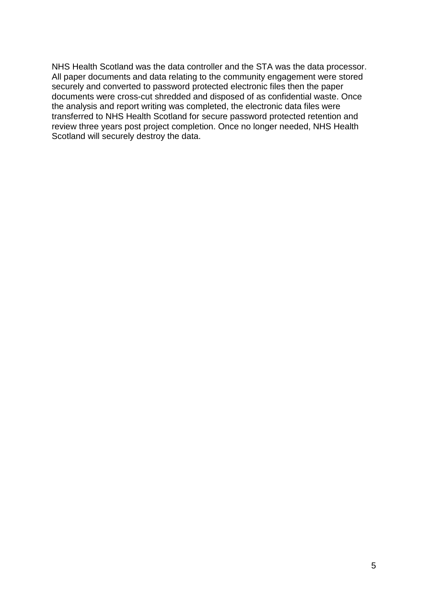NHS Health Scotland was the data controller and the STA was the data processor. All paper documents and data relating to the community engagement were stored securely and converted to password protected electronic files then the paper documents were cross-cut shredded and disposed of as confidential waste. Once the analysis and report writing was completed, the electronic data files were transferred to NHS Health Scotland for secure password protected retention and review three years post project completion. Once no longer needed, NHS Health Scotland will securely destroy the data.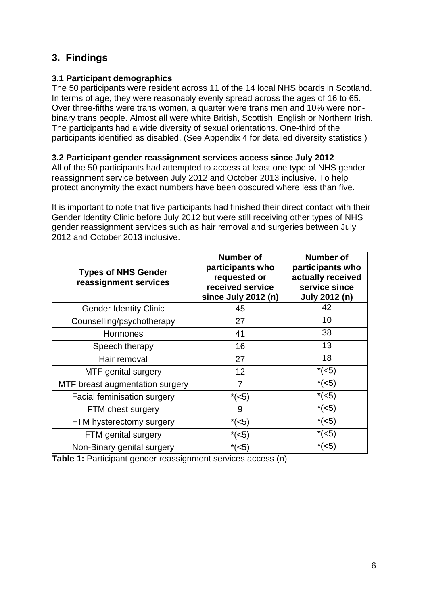## <span id="page-19-0"></span>**3. Findings**

### <span id="page-19-1"></span>**3.1 Participant demographics**

The 50 participants were resident across 11 of the 14 local NHS boards in Scotland. In terms of age, they were reasonably evenly spread across the ages of 16 to 65. Over three-fifths were trans women, a quarter were trans men and 10% were nonbinary trans people. Almost all were white British, Scottish, English or Northern Irish. The participants had a wide diversity of sexual orientations. One-third of the participants identified as disabled. (See Appendix 4 for detailed diversity statistics.)

### <span id="page-19-2"></span>**3.2 Participant gender reassignment services access since July 2012**

All of the 50 participants had attempted to access at least one type of NHS gender reassignment service between July 2012 and October 2013 inclusive. To help protect anonymity the exact numbers have been obscured where less than five.

It is important to note that five participants had finished their direct contact with their Gender Identity Clinic before July 2012 but were still receiving other types of NHS gender reassignment services such as hair removal and surgeries between July 2012 and October 2013 inclusive.

| <b>Types of NHS Gender</b><br>reassignment services | Number of<br>participants who<br>requested or<br>received service<br>since July 2012 (n) | Number of<br>participants who<br>actually received<br>service since<br>July 2012 (n) |
|-----------------------------------------------------|------------------------------------------------------------------------------------------|--------------------------------------------------------------------------------------|
| <b>Gender Identity Clinic</b>                       | 45                                                                                       | 42                                                                                   |
| Counselling/psychotherapy                           | 27                                                                                       | 10                                                                                   |
| Hormones                                            | 41                                                                                       | 38                                                                                   |
| Speech therapy                                      | 16                                                                                       | 13                                                                                   |
| Hair removal                                        | 27                                                                                       | 18                                                                                   |
| MTF genital surgery                                 | 12                                                                                       | $*(5)$                                                                               |
| MTF breast augmentation surgery                     | 7                                                                                        | $*(<5)$                                                                              |
| Facial feminisation surgery                         | $*(<5)$                                                                                  | $*(<5)$                                                                              |
| FTM chest surgery                                   | 9                                                                                        | $*(5)$                                                                               |
| FTM hysterectomy surgery                            | $*(5)$                                                                                   | $*(<5)$                                                                              |
| FTM genital surgery                                 | $*(5)$                                                                                   | $*(5)$                                                                               |
| Non-Binary genital surgery                          | $*(5)$                                                                                   | * $(-5)$                                                                             |

**Table 1:** Participant gender reassignment services access (n)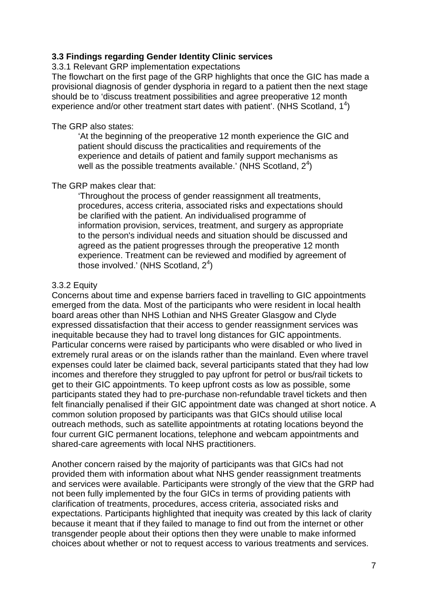### <span id="page-20-0"></span>**3.3 Findings regarding Gender Identity Clinic services**

<span id="page-20-1"></span>3.3.1 Relevant GRP implementation expectations

The flowchart on the first page of the GRP highlights that once the GIC has made a provisional diagnosis of gender dysphoria in regard to a patient then the next stage should be to 'discuss treatment possibilities and agree preoperative 12 month experience and/or other treatment start dates with patient'. (NHS Scotland,  $1^4$ )

#### The GRP also states:

'At the beginning of the preoperative 12 month experience the GIC and patient should discuss the practicalities and requirements of the experience and details of patient and family support mechanisms as well as the possible treatments available.' (NHS Scotland,  $2^4$ )

#### The GRP makes clear that:

'Throughout the process of gender reassignment all treatments, procedures, access criteria, associated risks and expectations should be clarified with the patient. An individualised programme of information provision, services, treatment, and surgery as appropriate to the person's individual needs and situation should be discussed and agreed as the patient progresses through the preoperative 12 month experience. Treatment can be reviewed and modified by agreement of those involved.' (NHS Scotland,  $2<sup>4</sup>$ )

#### <span id="page-20-2"></span>3.3.2 Equity

Concerns about time and expense barriers faced in travelling to GIC appointments emerged from the data. Most of the participants who were resident in local health board areas other than NHS Lothian and NHS Greater Glasgow and Clyde expressed dissatisfaction that their access to gender reassignment services was inequitable because they had to travel long distances for GIC appointments. Particular concerns were raised by participants who were disabled or who lived in extremely rural areas or on the islands rather than the mainland. Even where travel expenses could later be claimed back, several participants stated that they had low incomes and therefore they struggled to pay upfront for petrol or bus/rail tickets to get to their GIC appointments. To keep upfront costs as low as possible, some participants stated they had to pre-purchase non-refundable travel tickets and then felt financially penalised if their GIC appointment date was changed at short notice. A common solution proposed by participants was that GICs should utilise local outreach methods, such as satellite appointments at rotating locations beyond the four current GIC permanent locations, telephone and webcam appointments and shared-care agreements with local NHS practitioners.

Another concern raised by the majority of participants was that GICs had not provided them with information about what NHS gender reassignment treatments and services were available. Participants were strongly of the view that the GRP had not been fully implemented by the four GICs in terms of providing patients with clarification of treatments, procedures, access criteria, associated risks and expectations. Participants highlighted that inequity was created by this lack of clarity because it meant that if they failed to manage to find out from the internet or other transgender people about their options then they were unable to make informed choices about whether or not to request access to various treatments and services.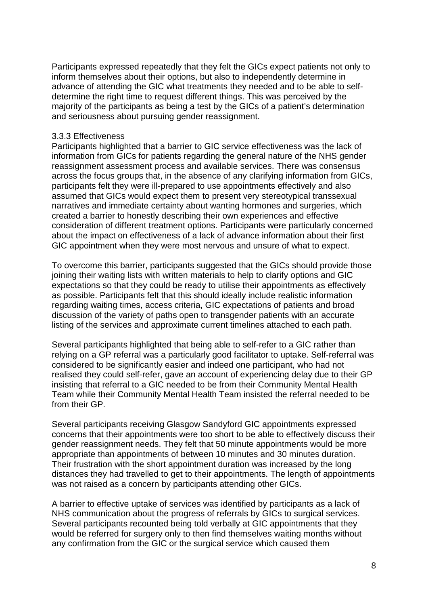Participants expressed repeatedly that they felt the GICs expect patients not only to inform themselves about their options, but also to independently determine in advance of attending the GIC what treatments they needed and to be able to selfdetermine the right time to request different things. This was perceived by the majority of the participants as being a test by the GICs of a patient's determination and seriousness about pursuing gender reassignment.

#### <span id="page-21-0"></span>3.3.3 Effectiveness

Participants highlighted that a barrier to GIC service effectiveness was the lack of information from GICs for patients regarding the general nature of the NHS gender reassignment assessment process and available services. There was consensus across the focus groups that, in the absence of any clarifying information from GICs, participants felt they were ill-prepared to use appointments effectively and also assumed that GICs would expect them to present very stereotypical transsexual narratives and immediate certainty about wanting hormones and surgeries, which created a barrier to honestly describing their own experiences and effective consideration of different treatment options. Participants were particularly concerned about the impact on effectiveness of a lack of advance information about their first GIC appointment when they were most nervous and unsure of what to expect.

To overcome this barrier, participants suggested that the GICs should provide those joining their waiting lists with written materials to help to clarify options and GIC expectations so that they could be ready to utilise their appointments as effectively as possible. Participants felt that this should ideally include realistic information regarding waiting times, access criteria, GIC expectations of patients and broad discussion of the variety of paths open to transgender patients with an accurate listing of the services and approximate current timelines attached to each path.

Several participants highlighted that being able to self-refer to a GIC rather than relying on a GP referral was a particularly good facilitator to uptake. Self-referral was considered to be significantly easier and indeed one participant, who had not realised they could self-refer, gave an account of experiencing delay due to their GP insisting that referral to a GIC needed to be from their Community Mental Health Team while their Community Mental Health Team insisted the referral needed to be from their GP.

Several participants receiving Glasgow Sandyford GIC appointments expressed concerns that their appointments were too short to be able to effectively discuss their gender reassignment needs. They felt that 50 minute appointments would be more appropriate than appointments of between 10 minutes and 30 minutes duration. Their frustration with the short appointment duration was increased by the long distances they had travelled to get to their appointments. The length of appointments was not raised as a concern by participants attending other GICs.

A barrier to effective uptake of services was identified by participants as a lack of NHS communication about the progress of referrals by GICs to surgical services. Several participants recounted being told verbally at GIC appointments that they would be referred for surgery only to then find themselves waiting months without any confirmation from the GIC or the surgical service which caused them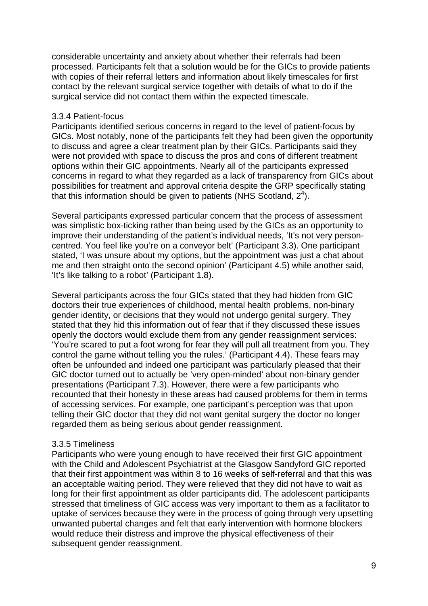considerable uncertainty and anxiety about whether their referrals had been processed. Participants felt that a solution would be for the GICs to provide patients with copies of their referral letters and information about likely timescales for first contact by the relevant surgical service together with details of what to do if the surgical service did not contact them within the expected timescale.

#### <span id="page-22-0"></span>3.3.4 Patient-focus

Participants identified serious concerns in regard to the level of patient-focus by GICs. Most notably, none of the participants felt they had been given the opportunity to discuss and agree a clear treatment plan by their GICs. Participants said they were not provided with space to discuss the pros and cons of different treatment options within their GIC appointments. Nearly all of the participants expressed concerns in regard to what they regarded as a lack of transparency from GICs about possibilities for treatment and approval criteria despite the GRP specifically stating that this information should be given to patients (NHS Scotland,  $2<sup>4</sup>$ ).

Several participants expressed particular concern that the process of assessment was simplistic box-ticking rather than being used by the GICs as an opportunity to improve their understanding of the patient's individual needs, 'It's not very personcentred. You feel like you're on a conveyor belt' (Participant 3.3). One participant stated, 'I was unsure about my options, but the appointment was just a chat about me and then straight onto the second opinion' (Participant 4.5) while another said, 'It's like talking to a robot' (Participant 1.8).

Several participants across the four GICs stated that they had hidden from GIC doctors their true experiences of childhood, mental health problems, non-binary gender identity, or decisions that they would not undergo genital surgery. They stated that they hid this information out of fear that if they discussed these issues openly the doctors would exclude them from any gender reassignment services: 'You're scared to put a foot wrong for fear they will pull all treatment from you. They control the game without telling you the rules.' (Participant 4.4). These fears may often be unfounded and indeed one participant was particularly pleased that their GIC doctor turned out to actually be 'very open-minded' about non-binary gender presentations (Participant 7.3). However, there were a few participants who recounted that their honesty in these areas had caused problems for them in terms of accessing services. For example, one participant's perception was that upon telling their GIC doctor that they did not want genital surgery the doctor no longer regarded them as being serious about gender reassignment.

#### <span id="page-22-1"></span>3.3.5 Timeliness

Participants who were young enough to have received their first GIC appointment with the Child and Adolescent Psychiatrist at the Glasgow Sandyford GIC reported that their first appointment was within 8 to 16 weeks of self-referral and that this was an acceptable waiting period. They were relieved that they did not have to wait as long for their first appointment as older participants did. The adolescent participants stressed that timeliness of GIC access was very important to them as a facilitator to uptake of services because they were in the process of going through very upsetting unwanted pubertal changes and felt that early intervention with hormone blockers would reduce their distress and improve the physical effectiveness of their subsequent gender reassignment.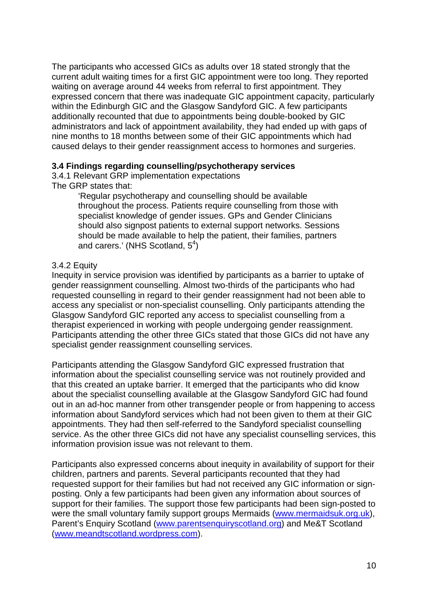The participants who accessed GICs as adults over 18 stated strongly that the current adult waiting times for a first GIC appointment were too long. They reported waiting on average around 44 weeks from referral to first appointment. They expressed concern that there was inadequate GIC appointment capacity, particularly within the Edinburgh GIC and the Glasgow Sandyford GIC. A few participants additionally recounted that due to appointments being double-booked by GIC administrators and lack of appointment availability, they had ended up with gaps of nine months to 18 months between some of their GIC appointments which had caused delays to their gender reassignment access to hormones and surgeries.

#### <span id="page-23-0"></span>**3.4 Findings regarding counselling/psychotherapy services**

<span id="page-23-1"></span>3.4.1 Relevant GRP implementation expectations The GRP states that:

> 'Regular psychotherapy and counselling should be available throughout the process. Patients require counselling from those with specialist knowledge of gender issues. GPs and Gender Clinicians should also signpost patients to external support networks. Sessions should be made available to help the patient, their families, partners and carers.' (NHS Scotland,  $5<sup>4</sup>$ )

#### <span id="page-23-2"></span>3.4.2 Equity

Inequity in service provision was identified by participants as a barrier to uptake of gender reassignment counselling. Almost two-thirds of the participants who had requested counselling in regard to their gender reassignment had not been able to access any specialist or non-specialist counselling. Only participants attending the Glasgow Sandyford GIC reported any access to specialist counselling from a therapist experienced in working with people undergoing gender reassignment. Participants attending the other three GICs stated that those GICs did not have any specialist gender reassignment counselling services.

Participants attending the Glasgow Sandyford GIC expressed frustration that information about the specialist counselling service was not routinely provided and that this created an uptake barrier. It emerged that the participants who did know about the specialist counselling available at the Glasgow Sandyford GIC had found out in an ad-hoc manner from other transgender people or from happening to access information about Sandyford services which had not been given to them at their GIC appointments. They had then self-referred to the Sandyford specialist counselling service. As the other three GICs did not have any specialist counselling services, this information provision issue was not relevant to them.

Participants also expressed concerns about inequity in availability of support for their children, partners and parents. Several participants recounted that they had requested support for their families but had not received any GIC information or signposting. Only a few participants had been given any information about sources of support for their families. The support those few participants had been sign-posted to were the small voluntary family support groups Mermaids [\(www.mermaidsuk.org.uk\)](http://www.mermaidsuk.org.uk/), Parent's Enquiry Scotland [\(www.parentsenquiryscotland.org\)](http://www.parentsenquiryscotland.org/) and Me&T Scotland [\(www.meandtscotland.wordpress.com\)](http://www.meandtscotland.wordpress.com/).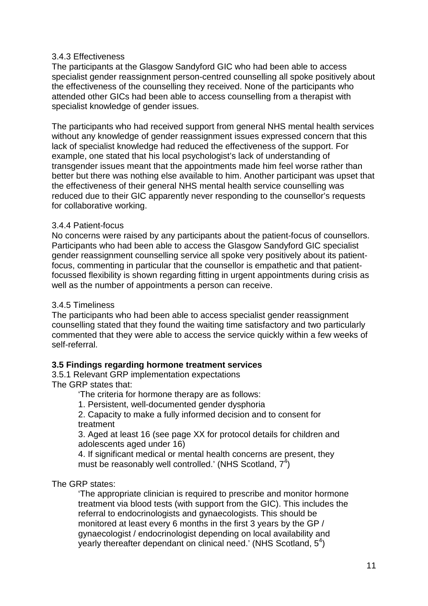#### <span id="page-24-0"></span>3.4.3 Effectiveness

The participants at the Glasgow Sandyford GIC who had been able to access specialist gender reassignment person-centred counselling all spoke positively about the effectiveness of the counselling they received. None of the participants who attended other GICs had been able to access counselling from a therapist with specialist knowledge of gender issues.

The participants who had received support from general NHS mental health services without any knowledge of gender reassignment issues expressed concern that this lack of specialist knowledge had reduced the effectiveness of the support. For example, one stated that his local psychologist's lack of understanding of transgender issues meant that the appointments made him feel worse rather than better but there was nothing else available to him. Another participant was upset that the effectiveness of their general NHS mental health service counselling was reduced due to their GIC apparently never responding to the counsellor's requests for collaborative working.

#### <span id="page-24-1"></span>3.4.4 Patient-focus

No concerns were raised by any participants about the patient-focus of counsellors. Participants who had been able to access the Glasgow Sandyford GIC specialist gender reassignment counselling service all spoke very positively about its patientfocus, commenting in particular that the counsellor is empathetic and that patientfocussed flexibility is shown regarding fitting in urgent appointments during crisis as well as the number of appointments a person can receive.

#### <span id="page-24-2"></span>3.4.5 Timeliness

The participants who had been able to access specialist gender reassignment counselling stated that they found the waiting time satisfactory and two particularly commented that they were able to access the service quickly within a few weeks of self-referral.

#### <span id="page-24-3"></span>**3.5 Findings regarding hormone treatment services**

<span id="page-24-4"></span>3.5.1 Relevant GRP implementation expectations The GRP states that:

'The criteria for hormone therapy are as follows:

1. Persistent, well-documented gender dysphoria

2. Capacity to make a fully informed decision and to consent for treatment

3. Aged at least 16 (see page XX for protocol details for children and adolescents aged under 16)

4. If significant medical or mental health concerns are present, they must be reasonably well controlled.' (NHS Scotland,  $7<sup>4</sup>$ )

#### The GRP states:

'The appropriate clinician is required to prescribe and monitor hormone treatment via blood tests (with support from the GIC). This includes the referral to endocrinologists and gynaecologists. This should be monitored at least every 6 months in the first 3 years by the GP / gynaecologist / endocrinologist depending on local availability and yearly thereafter dependant on clinical need.' (NHS Scotland,  $5<sup>4</sup>$ )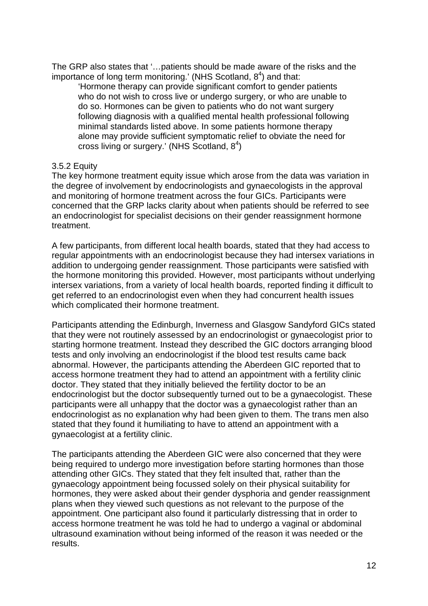The GRP also states that '…patients should be made aware of the risks and the importance of long term monitoring.' (NHS Scotland,  $8<sup>4</sup>$ ) and that:

'Hormone therapy can provide significant comfort to gender patients who do not wish to cross live or undergo surgery, or who are unable to do so. Hormones can be given to patients who do not want surgery following diagnosis with a qualified mental health professional following minimal standards listed above. In some patients hormone therapy alone may provide sufficient symptomatic relief to obviate the need for cross living or surgery.' (NHS Scotland,  $8<sup>4</sup>$ )

### <span id="page-25-0"></span>3.5.2 Equity

The key hormone treatment equity issue which arose from the data was variation in the degree of involvement by endocrinologists and gynaecologists in the approval and monitoring of hormone treatment across the four GICs. Participants were concerned that the GRP lacks clarity about when patients should be referred to see an endocrinologist for specialist decisions on their gender reassignment hormone treatment.

A few participants, from different local health boards, stated that they had access to regular appointments with an endocrinologist because they had intersex variations in addition to undergoing gender reassignment. Those participants were satisfied with the hormone monitoring this provided. However, most participants without underlying intersex variations, from a variety of local health boards, reported finding it difficult to get referred to an endocrinologist even when they had concurrent health issues which complicated their hormone treatment.

Participants attending the Edinburgh, Inverness and Glasgow Sandyford GICs stated that they were not routinely assessed by an endocrinologist or gynaecologist prior to starting hormone treatment. Instead they described the GIC doctors arranging blood tests and only involving an endocrinologist if the blood test results came back abnormal. However, the participants attending the Aberdeen GIC reported that to access hormone treatment they had to attend an appointment with a fertility clinic doctor. They stated that they initially believed the fertility doctor to be an endocrinologist but the doctor subsequently turned out to be a gynaecologist. These participants were all unhappy that the doctor was a gynaecologist rather than an endocrinologist as no explanation why had been given to them. The trans men also stated that they found it humiliating to have to attend an appointment with a gynaecologist at a fertility clinic.

The participants attending the Aberdeen GIC were also concerned that they were being required to undergo more investigation before starting hormones than those attending other GICs. They stated that they felt insulted that, rather than the gynaecology appointment being focussed solely on their physical suitability for hormones, they were asked about their gender dysphoria and gender reassignment plans when they viewed such questions as not relevant to the purpose of the appointment. One participant also found it particularly distressing that in order to access hormone treatment he was told he had to undergo a vaginal or abdominal ultrasound examination without being informed of the reason it was needed or the results.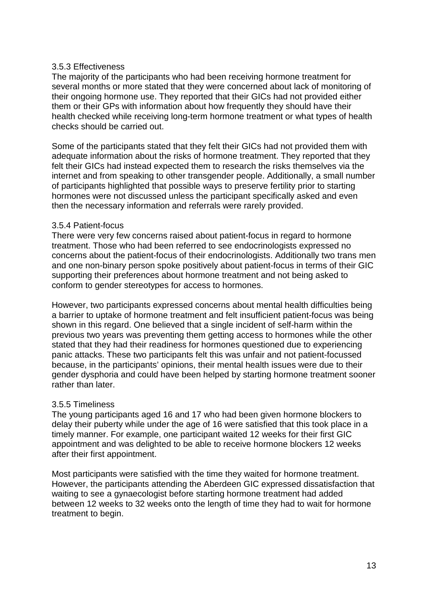#### <span id="page-26-0"></span>3.5.3 Effectiveness

The majority of the participants who had been receiving hormone treatment for several months or more stated that they were concerned about lack of monitoring of their ongoing hormone use. They reported that their GICs had not provided either them or their GPs with information about how frequently they should have their health checked while receiving long-term hormone treatment or what types of health checks should be carried out.

Some of the participants stated that they felt their GICs had not provided them with adequate information about the risks of hormone treatment. They reported that they felt their GICs had instead expected them to research the risks themselves via the internet and from speaking to other transgender people. Additionally, a small number of participants highlighted that possible ways to preserve fertility prior to starting hormones were not discussed unless the participant specifically asked and even then the necessary information and referrals were rarely provided.

#### <span id="page-26-1"></span>3.5.4 Patient-focus

There were very few concerns raised about patient-focus in regard to hormone treatment. Those who had been referred to see endocrinologists expressed no concerns about the patient-focus of their endocrinologists. Additionally two trans men and one non-binary person spoke positively about patient-focus in terms of their GIC supporting their preferences about hormone treatment and not being asked to conform to gender stereotypes for access to hormones.

However, two participants expressed concerns about mental health difficulties being a barrier to uptake of hormone treatment and felt insufficient patient-focus was being shown in this regard. One believed that a single incident of self-harm within the previous two years was preventing them getting access to hormones while the other stated that they had their readiness for hormones questioned due to experiencing panic attacks. These two participants felt this was unfair and not patient-focussed because, in the participants' opinions, their mental health issues were due to their gender dysphoria and could have been helped by starting hormone treatment sooner rather than later.

#### <span id="page-26-2"></span>3.5.5 Timeliness

The young participants aged 16 and 17 who had been given hormone blockers to delay their puberty while under the age of 16 were satisfied that this took place in a timely manner. For example, one participant waited 12 weeks for their first GIC appointment and was delighted to be able to receive hormone blockers 12 weeks after their first appointment.

Most participants were satisfied with the time they waited for hormone treatment. However, the participants attending the Aberdeen GIC expressed dissatisfaction that waiting to see a gynaecologist before starting hormone treatment had added between 12 weeks to 32 weeks onto the length of time they had to wait for hormone treatment to begin.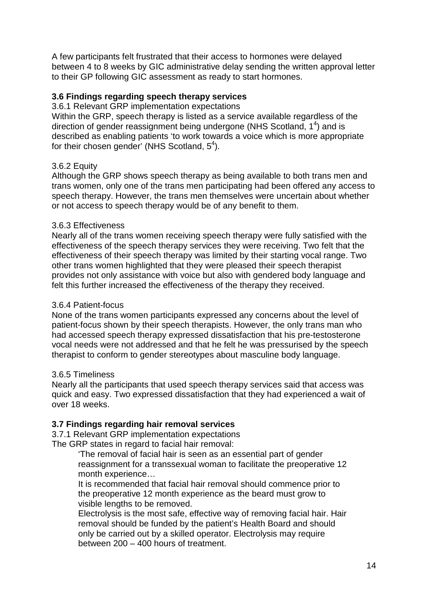A few participants felt frustrated that their access to hormones were delayed between 4 to 8 weeks by GIC administrative delay sending the written approval letter to their GP following GIC assessment as ready to start hormones.

### <span id="page-27-0"></span>**3.6 Findings regarding speech therapy services**

<span id="page-27-1"></span>3.6.1 Relevant GRP implementation expectations

Within the GRP, speech therapy is listed as a service available regardless of the direction of gender reassignment being undergone (NHS Scotland,  $1<sup>4</sup>$ ) and is described as enabling patients 'to work towards a voice which is more appropriate for their chosen gender' (NHS Scotland,  $5^4$ ).

### <span id="page-27-2"></span>3.6.2 Equity

Although the GRP shows speech therapy as being available to both trans men and trans women, only one of the trans men participating had been offered any access to speech therapy. However, the trans men themselves were uncertain about whether or not access to speech therapy would be of any benefit to them.

#### <span id="page-27-3"></span>3.6.3 Effectiveness

Nearly all of the trans women receiving speech therapy were fully satisfied with the effectiveness of the speech therapy services they were receiving. Two felt that the effectiveness of their speech therapy was limited by their starting vocal range. Two other trans women highlighted that they were pleased their speech therapist provides not only assistance with voice but also with gendered body language and felt this further increased the effectiveness of the therapy they received.

#### <span id="page-27-4"></span>3.6.4 Patient-focus

None of the trans women participants expressed any concerns about the level of patient-focus shown by their speech therapists. However, the only trans man who had accessed speech therapy expressed dissatisfaction that his pre-testosterone vocal needs were not addressed and that he felt he was pressurised by the speech therapist to conform to gender stereotypes about masculine body language.

#### <span id="page-27-5"></span>3.6.5 Timeliness

Nearly all the participants that used speech therapy services said that access was quick and easy. Two expressed dissatisfaction that they had experienced a wait of over 18 weeks.

#### <span id="page-27-6"></span>**3.7 Findings regarding hair removal services**

<span id="page-27-7"></span>3.7.1 Relevant GRP implementation expectations The GRP states in regard to facial hair removal:

> 'The removal of facial hair is seen as an essential part of gender reassignment for a transsexual woman to facilitate the preoperative 12 month experience…

It is recommended that facial hair removal should commence prior to the preoperative 12 month experience as the beard must grow to visible lengths to be removed.

Electrolysis is the most safe, effective way of removing facial hair. Hair removal should be funded by the patient's Health Board and should only be carried out by a skilled operator. Electrolysis may require between 200 – 400 hours of treatment.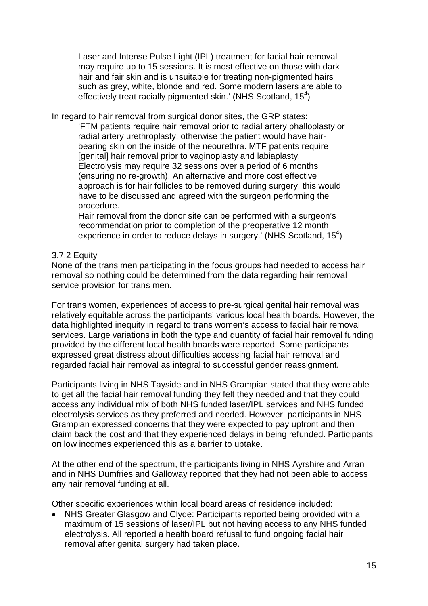Laser and Intense Pulse Light (IPL) treatment for facial hair removal may require up to 15 sessions. It is most effective on those with dark hair and fair skin and is unsuitable for treating non-pigmented hairs such as grey, white, blonde and red. Some modern lasers are able to effectively treat racially pigmented skin.' [\(NHS Scotland, 15](#page-40-0) $4$ )

In regard to hair removal from surgical donor sites, the GRP states:

'FTM patients require hair removal prior to radial artery phalloplasty or radial artery urethroplasty; otherwise the patient would have hairbearing skin on the inside of the neourethra. MTF patients require [genital] hair removal prior to vaginoplasty and labiaplasty. Electrolysis may require 32 sessions over a period of 6 months (ensuring no re-growth). An alternative and more cost effective approach is for hair follicles to be removed during surgery, this would have to be discussed and agreed with the surgeon performing the procedure.

Hair removal from the donor site can be performed with a surgeon's recommendation prior to completion of the preoperative 12 month experience in order to reduce delays in surgery.' (NHS Scotland, 15<sup>4</sup>)

#### <span id="page-28-0"></span>3.7.2 Equity

None of the trans men participating in the focus groups had needed to access hair removal so nothing could be determined from the data regarding hair removal service provision for trans men.

For trans women, experiences of access to pre-surgical genital hair removal was relatively equitable across the participants' various local health boards. However, the data highlighted inequity in regard to trans women's access to facial hair removal services. Large variations in both the type and quantity of facial hair removal funding provided by the different local health boards were reported. Some participants expressed great distress about difficulties accessing facial hair removal and regarded facial hair removal as integral to successful gender reassignment.

Participants living in NHS Tayside and in NHS Grampian stated that they were able to get all the facial hair removal funding they felt they needed and that they could access any individual mix of both NHS funded laser/IPL services and NHS funded electrolysis services as they preferred and needed. However, participants in NHS Grampian expressed concerns that they were expected to pay upfront and then claim back the cost and that they experienced delays in being refunded. Participants on low incomes experienced this as a barrier to uptake.

At the other end of the spectrum, the participants living in NHS Ayrshire and Arran and in NHS Dumfries and Galloway reported that they had not been able to access any hair removal funding at all.

Other specific experiences within local board areas of residence included:

• NHS Greater Glasgow and Clyde: Participants reported being provided with a maximum of 15 sessions of laser/IPL but not having access to any NHS funded electrolysis. All reported a health board refusal to fund ongoing facial hair removal after genital surgery had taken place.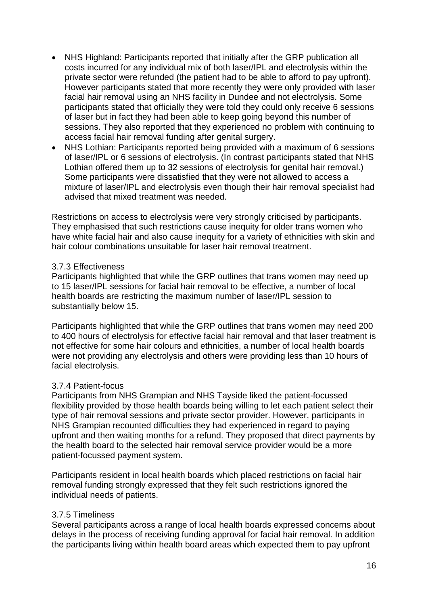- NHS Highland: Participants reported that initially after the GRP publication all costs incurred for any individual mix of both laser/IPL and electrolysis within the private sector were refunded (the patient had to be able to afford to pay upfront). However participants stated that more recently they were only provided with laser facial hair removal using an NHS facility in Dundee and not electrolysis. Some participants stated that officially they were told they could only receive 6 sessions of laser but in fact they had been able to keep going beyond this number of sessions. They also reported that they experienced no problem with continuing to access facial hair removal funding after genital surgery.
- NHS Lothian: Participants reported being provided with a maximum of 6 sessions of laser/IPL or 6 sessions of electrolysis. (In contrast participants stated that NHS Lothian offered them up to 32 sessions of electrolysis for genital hair removal.) Some participants were dissatisfied that they were not allowed to access a mixture of laser/IPL and electrolysis even though their hair removal specialist had advised that mixed treatment was needed.

Restrictions on access to electrolysis were very strongly criticised by participants. They emphasised that such restrictions cause inequity for older trans women who have white facial hair and also cause inequity for a variety of ethnicities with skin and hair colour combinations unsuitable for laser hair removal treatment.

#### <span id="page-29-0"></span>3.7.3 Effectiveness

Participants highlighted that while the GRP outlines that trans women may need up to 15 laser/IPL sessions for facial hair removal to be effective, a number of local health boards are restricting the maximum number of laser/IPL session to substantially below 15.

Participants highlighted that while the GRP outlines that trans women may need 200 to 400 hours of electrolysis for effective facial hair removal and that laser treatment is not effective for some hair colours and ethnicities, a number of local health boards were not providing any electrolysis and others were providing less than 10 hours of facial electrolysis.

#### <span id="page-29-1"></span>3.7.4 Patient-focus

Participants from NHS Grampian and NHS Tayside liked the patient-focussed flexibility provided by those health boards being willing to let each patient select their type of hair removal sessions and private sector provider. However, participants in NHS Grampian recounted difficulties they had experienced in regard to paying upfront and then waiting months for a refund. They proposed that direct payments by the health board to the selected hair removal service provider would be a more patient-focussed payment system.

Participants resident in local health boards which placed restrictions on facial hair removal funding strongly expressed that they felt such restrictions ignored the individual needs of patients.

#### <span id="page-29-2"></span>3.7.5 Timeliness

Several participants across a range of local health boards expressed concerns about delays in the process of receiving funding approval for facial hair removal. In addition the participants living within health board areas which expected them to pay upfront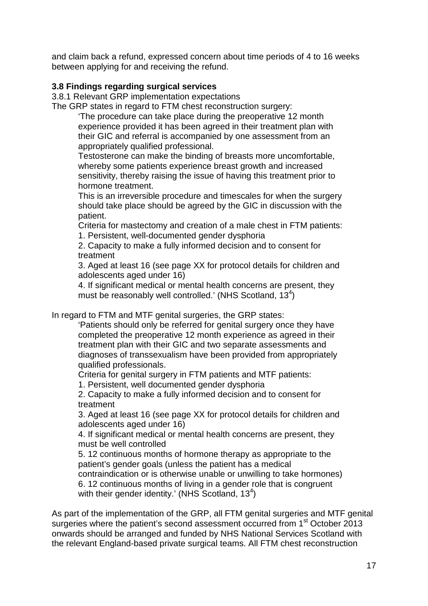and claim back a refund, expressed concern about time periods of 4 to 16 weeks between applying for and receiving the refund.

### <span id="page-30-0"></span>**3.8 Findings regarding surgical services**

<span id="page-30-1"></span>3.8.1 Relevant GRP implementation expectations

The GRP states in regard to FTM chest reconstruction surgery:

'The procedure can take place during the preoperative 12 month experience provided it has been agreed in their treatment plan with their GIC and referral is accompanied by one assessment from an appropriately qualified professional.

Testosterone can make the binding of breasts more uncomfortable, whereby some patients experience breast growth and increased sensitivity, thereby raising the issue of having this treatment prior to hormone treatment.

This is an irreversible procedure and timescales for when the surgery should take place should be agreed by the GIC in discussion with the patient.

Criteria for mastectomy and creation of a male chest in FTM patients: 1. Persistent, well-documented gender dysphoria

2. Capacity to make a fully informed decision and to consent for treatment

3. Aged at least 16 (see page XX for protocol details for children and adolescents aged under 16)

4. If significant medical or mental health concerns are present, they must be reasonably well controlled.' [\(NHS Scotland, 13](#page-40-0)<sup>4</sup>)

In regard to FTM and MTF genital surgeries, the GRP states:

'Patients should only be referred for genital surgery once they have completed the preoperative 12 month experience as agreed in their treatment plan with their GIC and two separate assessments and diagnoses of transsexualism have been provided from appropriately qualified professionals.

Criteria for genital surgery in FTM patients and MTF patients:

1. Persistent, well documented gender dysphoria

2. Capacity to make a fully informed decision and to consent for treatment

3. Aged at least 16 (see page XX for protocol details for children and adolescents aged under 16)

4. If significant medical or mental health concerns are present, they must be well controlled

5. 12 continuous months of hormone therapy as appropriate to the patient's gender goals (unless the patient has a medical

contraindication or is otherwise unable or unwilling to take hormones)

6. 12 continuous months of living in a gender role that is congruent with their gender identity.' [\(NHS Scotland, 13](#page-40-0)<sup>4</sup>)

As part of the implementation of the GRP, all FTM genital surgeries and MTF genital surgeries where the patient's second assessment occurred from 1<sup>st</sup> October 2013 onwards should be arranged and funded by NHS National Services Scotland with the relevant England-based private surgical teams. All FTM chest reconstruction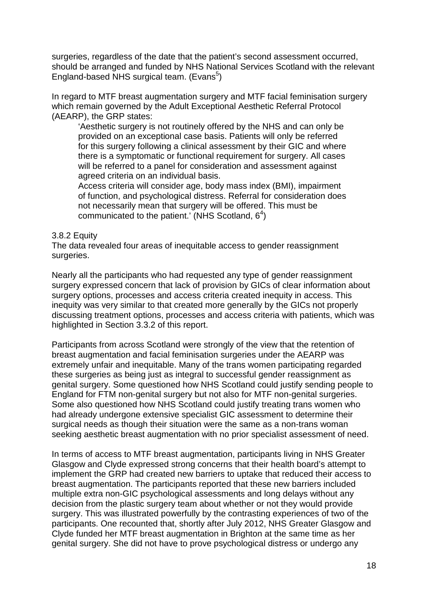surgeries, regardless of the date that the patient's second assessment occurred, should be arranged and funded by NHS National Services Scotland with the relevant England-based NHS surgical team. (Evans<sup>5</sup>)

In regard to MTF breast augmentation surgery and MTF facial feminisation surgery which remain governed by the Adult Exceptional Aesthetic Referral Protocol (AEARP), the GRP states:

'Aesthetic surgery is not routinely offered by the NHS and can only be provided on an exceptional case basis. Patients will only be referred for this surgery following a clinical assessment by their GIC and where there is a symptomatic or functional requirement for surgery. All cases will be referred to a panel for consideration and assessment against agreed criteria on an individual basis.

Access criteria will consider age, body mass index (BMI), impairment of function, and psychological distress. Referral for consideration does not necessarily mean that surgery will be offered. This must be communicated to the patient.' (NHS Scotland,  $6<sup>4</sup>$ )

#### <span id="page-31-0"></span>3.8.2 Equity

The data revealed four areas of inequitable access to gender reassignment surgeries.

Nearly all the participants who had requested any type of gender reassignment surgery expressed concern that lack of provision by GICs of clear information about surgery options, processes and access criteria created inequity in access. This inequity was very similar to that created more generally by the GICs not properly discussing treatment options, processes and access criteria with patients, which was highlighted in [Section 3.3.2](#page-20-2) of this report.

Participants from across Scotland were strongly of the view that the retention of breast augmentation and facial feminisation surgeries under the AEARP was extremely unfair and inequitable. Many of the trans women participating regarded these surgeries as being just as integral to successful gender reassignment as genital surgery. Some questioned how NHS Scotland could justify sending people to England for FTM non-genital surgery but not also for MTF non-genital surgeries. Some also questioned how NHS Scotland could justify treating trans women who had already undergone extensive specialist GIC assessment to determine their surgical needs as though their situation were the same as a non-trans woman seeking aesthetic breast augmentation with no prior specialist assessment of need.

In terms of access to MTF breast augmentation, participants living in NHS Greater Glasgow and Clyde expressed strong concerns that their health board's attempt to implement the GRP had created new barriers to uptake that reduced their access to breast augmentation. The participants reported that these new barriers included multiple extra non-GIC psychological assessments and long delays without any decision from the plastic surgery team about whether or not they would provide surgery. This was illustrated powerfully by the contrasting experiences of two of the participants. One recounted that, shortly after July 2012, NHS Greater Glasgow and Clyde funded her MTF breast augmentation in Brighton at the same time as her genital surgery. She did not have to prove psychological distress or undergo any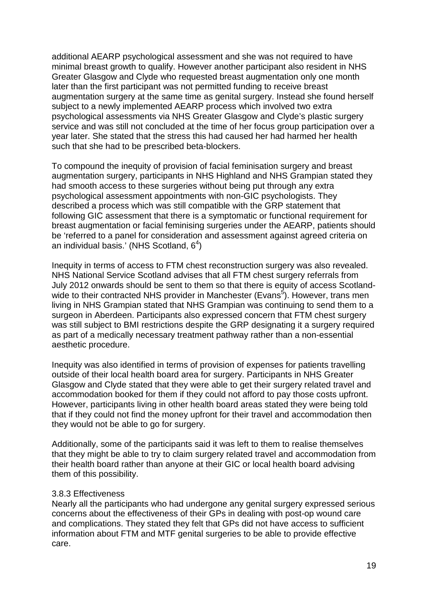additional AEARP psychological assessment and she was not required to have minimal breast growth to qualify. However another participant also resident in NHS Greater Glasgow and Clyde who requested breast augmentation only one month later than the first participant was not permitted funding to receive breast augmentation surgery at the same time as genital surgery. Instead she found herself subject to a newly implemented AEARP process which involved two extra psychological assessments via NHS Greater Glasgow and Clyde's plastic surgery service and was still not concluded at the time of her focus group participation over a year later. She stated that the stress this had caused her had harmed her health such that she had to be prescribed beta-blockers.

To compound the inequity of provision of facial feminisation surgery and breast augmentation surgery, participants in NHS Highland and NHS Grampian stated they had smooth access to these surgeries without being put through any extra psychological assessment appointments with non-GIC psychologists. They described a process which was still compatible with the GRP statement that following GIC assessment that there is a symptomatic or functional requirement for breast augmentation or facial feminising surgeries under the AEARP, patients should be 'referred to a panel for consideration and assessment against agreed criteria on an individual basis.' (NHS Scotland,  $6<sup>4</sup>$ )

Inequity in terms of access to FTM chest reconstruction surgery was also revealed. NHS National Service Scotland advises that all FTM chest surgery referrals from July 2012 onwards should be sent to them so that there is equity of access Scotlandwide to their contracted NHS provider in Manchester (Evans<sup>5</sup>). However, trans men living in NHS Grampian stated that NHS Grampian was continuing to send them to a surgeon in Aberdeen. Participants also expressed concern that FTM chest surgery was still subject to BMI restrictions despite the GRP designating it a surgery required as part of a medically necessary treatment pathway rather than a non-essential aesthetic procedure.

Inequity was also identified in terms of provision of expenses for patients travelling outside of their local health board area for surgery. Participants in NHS Greater Glasgow and Clyde stated that they were able to get their surgery related travel and accommodation booked for them if they could not afford to pay those costs upfront. However, participants living in other health board areas stated they were being told that if they could not find the money upfront for their travel and accommodation then they would not be able to go for surgery.

Additionally, some of the participants said it was left to them to realise themselves that they might be able to try to claim surgery related travel and accommodation from their health board rather than anyone at their GIC or local health board advising them of this possibility.

#### <span id="page-32-0"></span>3.8.3 Effectiveness

Nearly all the participants who had undergone any genital surgery expressed serious concerns about the effectiveness of their GPs in dealing with post-op wound care and complications. They stated they felt that GPs did not have access to sufficient information about FTM and MTF genital surgeries to be able to provide effective care.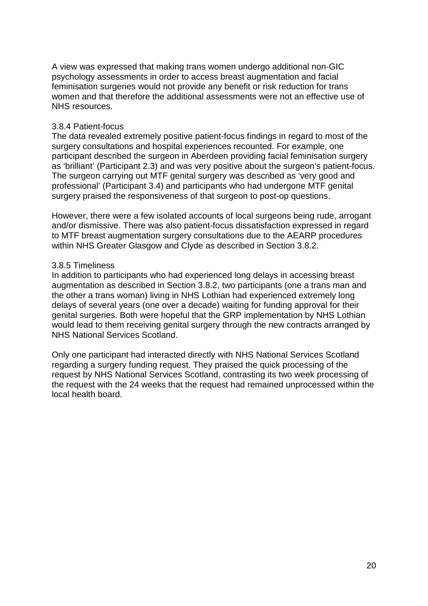A view was expressed that making trans women undergo additional non-GIC psychology assessments in order to access breast augmentation and facial feminisation surgeries would not provide any benefit or risk reduction for trans women and that therefore the additional assessments were not an effective use of NHS resources.

#### <span id="page-33-0"></span>3.8.4 Patient-focus

The data revealed extremely positive patient-focus findings in regard to most of the surgery consultations and hospital experiences recounted. For example, one participant described the surgeon in Aberdeen providing facial feminisation surgery as 'brilliant' (Participant 2.3) and was very positive about the surgeon's patient-focus. The surgeon carrying out MTF genital surgery was described as 'very good and professional' (Participant 3.4) and participants who had undergone MTF genital surgery praised the responsiveness of that surgeon to post-op questions.

However, there were a few isolated accounts of local surgeons being rude, arrogant and/or dismissive. There was also patient-focus dissatisfaction expressed in regard to MTF breast augmentation surgery consultations due to the AEARP procedures within NHS Greater Glasgow and Clyde as described in [Section 3.8.2.](#page-31-0)

#### <span id="page-33-1"></span>3.8.5 Timeliness

In addition to participants who had experienced long delays in accessing breast augmentation as described in [Section 3.8.2,](#page-31-0) two participants (one a trans man and the other a trans woman) living in NHS Lothian had experienced extremely long delays of several years (one over a decade) waiting for funding approval for their genital surgeries. Both were hopeful that the GRP implementation by NHS Lothian would lead to them receiving genital surgery through the new contracts arranged by NHS National Services Scotland.

Only one participant had interacted directly with NHS National Services Scotland regarding a surgery funding request. They praised the quick processing of the request by NHS National Services Scotland, contrasting its two week processing of the request with the 24 weeks that the request had remained unprocessed within the local health board.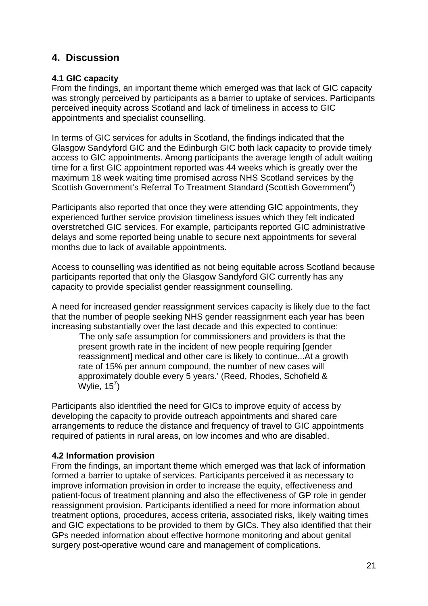## <span id="page-34-0"></span>**4. Discussion**

### <span id="page-34-1"></span>**4.1 GIC capacity**

From the findings, an important theme which emerged was that lack of GIC capacity was strongly perceived by participants as a barrier to uptake of services. Participants perceived inequity across Scotland and lack of timeliness in access to GIC appointments and specialist counselling.

In terms of GIC services for adults in Scotland, the findings indicated that the Glasgow Sandyford GIC and the Edinburgh GIC both lack capacity to provide timely access to GIC appointments. Among participants the average length of adult waiting time for a first GIC appointment reported was 44 weeks which is greatly over the maximum 18 week waiting time promised across NHS Scotland services by the Scottish Government's Referral To Treatment Standard (Scottish Government<sup>6</sup>)

Participants also reported that once they were attending GIC appointments, they experienced further service provision timeliness issues which they felt indicated overstretched GIC services. For example, participants reported GIC administrative delays and some reported being unable to secure next appointments for several months due to lack of available appointments.

Access to counselling was identified as not being equitable across Scotland because participants reported that only the Glasgow Sandyford GIC currently has any capacity to provide specialist gender reassignment counselling.

A need for increased gender reassignment services capacity is likely due to the fact that the number of people seeking NHS gender reassignment each year has been increasing substantially over the last decade and this expected to continue:

'The only safe assumption for commissioners and providers is that the present growth rate in the incident of new people requiring [gender reassignment] medical and other care is likely to continue...At a growth rate of 15% per annum compound, the number of new cases will approximately double every 5 years.' (Reed, Rhodes, Schofield & Wylie,  $15^7$ )

Participants also identified the need for GICs to improve equity of access by developing the capacity to provide outreach appointments and shared care arrangements to reduce the distance and frequency of travel to GIC appointments required of patients in rural areas, on low incomes and who are disabled.

### <span id="page-34-2"></span>**4.2 Information provision**

From the findings, an important theme which emerged was that lack of information formed a barrier to uptake of services. Participants perceived it as necessary to improve information provision in order to increase the equity, effectiveness and patient-focus of treatment planning and also the effectiveness of GP role in gender reassignment provision. Participants identified a need for more information about treatment options, procedures, access criteria, associated risks, likely waiting times and GIC expectations to be provided to them by GICs. They also identified that their GPs needed information about effective hormone monitoring and about genital surgery post-operative wound care and management of complications.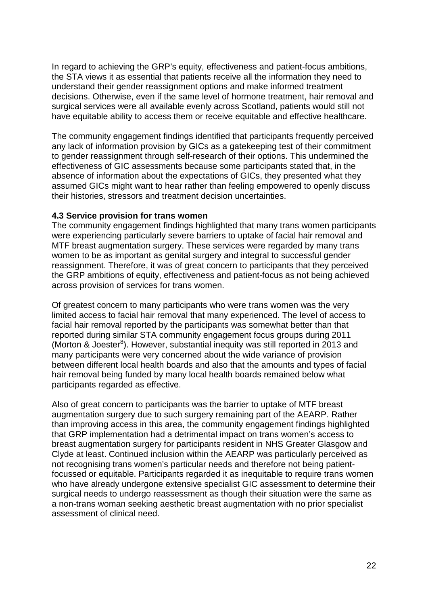In regard to achieving the GRP's equity, effectiveness and patient-focus ambitions, the STA views it as essential that patients receive all the information they need to understand their gender reassignment options and make informed treatment decisions. Otherwise, even if the same level of hormone treatment, hair removal and surgical services were all available evenly across Scotland, patients would still not have equitable ability to access them or receive equitable and effective healthcare.

The community engagement findings identified that participants frequently perceived any lack of information provision by GICs as a gatekeeping test of their commitment to gender reassignment through self-research of their options. This undermined the effectiveness of GIC assessments because some participants stated that, in the absence of information about the expectations of GICs, they presented what they assumed GICs might want to hear rather than feeling empowered to openly discuss their histories, stressors and treatment decision uncertainties.

#### <span id="page-35-0"></span>**4.3 Service provision for trans women**

The community engagement findings highlighted that many trans women participants were experiencing particularly severe barriers to uptake of facial hair removal and MTF breast augmentation surgery. These services were regarded by many trans women to be as important as genital surgery and integral to successful gender reassignment. Therefore, it was of great concern to participants that they perceived the GRP ambitions of equity, effectiveness and patient-focus as not being achieved across provision of services for trans women.

Of greatest concern to many participants who were trans women was the very limited access to facial hair removal that many experienced. The level of access to facial hair removal reported by the participants was somewhat better than that reported during similar STA community engagement focus groups during 2011 (Morton & Joester<sup>8</sup>). However, substantial inequity was still reported in 2013 and many participants were very concerned about the wide variance of provision between different local health boards and also that the amounts and types of facial hair removal being funded by many local health boards remained below what participants regarded as effective.

Also of great concern to participants was the barrier to uptake of MTF breast augmentation surgery due to such surgery remaining part of the AEARP. Rather than improving access in this area, the community engagement findings highlighted that GRP implementation had a detrimental impact on trans women's access to breast augmentation surgery for participants resident in NHS Greater Glasgow and Clyde at least. Continued inclusion within the AEARP was particularly perceived as not recognising trans women's particular needs and therefore not being patientfocussed or equitable. Participants regarded it as inequitable to require trans women who have already undergone extensive specialist GIC assessment to determine their surgical needs to undergo reassessment as though their situation were the same as a non-trans woman seeking aesthetic breast augmentation with no prior specialist assessment of clinical need.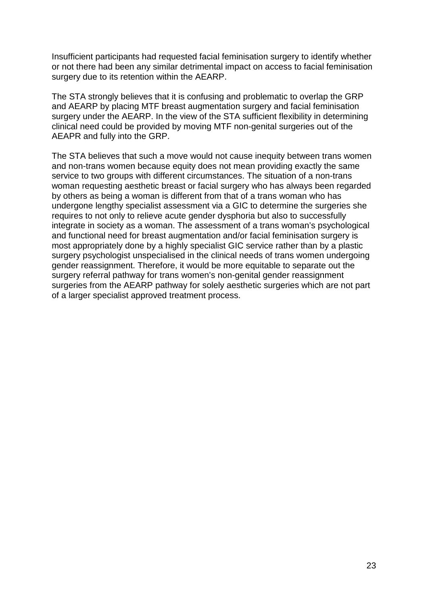Insufficient participants had requested facial feminisation surgery to identify whether or not there had been any similar detrimental impact on access to facial feminisation surgery due to its retention within the AEARP.

The STA strongly believes that it is confusing and problematic to overlap the GRP and AEARP by placing MTF breast augmentation surgery and facial feminisation surgery under the AEARP. In the view of the STA sufficient flexibility in determining clinical need could be provided by moving MTF non-genital surgeries out of the AEAPR and fully into the GRP.

The STA believes that such a move would not cause inequity between trans women and non-trans women because equity does not mean providing exactly the same service to two groups with different circumstances. The situation of a non-trans woman requesting aesthetic breast or facial surgery who has always been regarded by others as being a woman is different from that of a trans woman who has undergone lengthy specialist assessment via a GIC to determine the surgeries she requires to not only to relieve acute gender dysphoria but also to successfully integrate in society as a woman. The assessment of a trans woman's psychological and functional need for breast augmentation and/or facial feminisation surgery is most appropriately done by a highly specialist GIC service rather than by a plastic surgery psychologist unspecialised in the clinical needs of trans women undergoing gender reassignment. Therefore, it would be more equitable to separate out the surgery referral pathway for trans women's non-genital gender reassignment surgeries from the AEARP pathway for solely aesthetic surgeries which are not part of a larger specialist approved treatment process.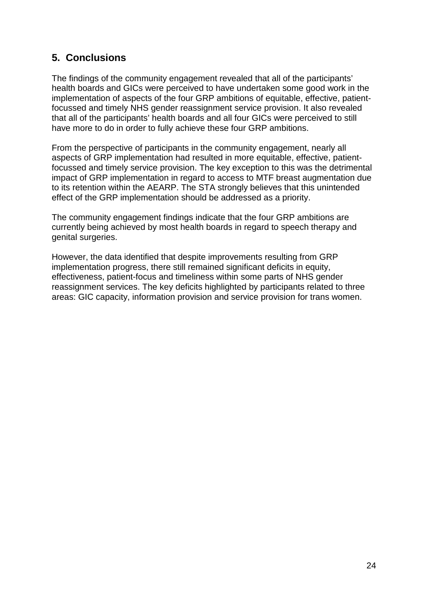## <span id="page-37-0"></span>**5. Conclusions**

The findings of the community engagement revealed that all of the participants' health boards and GICs were perceived to have undertaken some good work in the implementation of aspects of the four GRP ambitions of equitable, effective, patientfocussed and timely NHS gender reassignment service provision. It also revealed that all of the participants' health boards and all four GICs were perceived to still have more to do in order to fully achieve these four GRP ambitions.

From the perspective of participants in the community engagement, nearly all aspects of GRP implementation had resulted in more equitable, effective, patientfocussed and timely service provision. The key exception to this was the detrimental impact of GRP implementation in regard to access to MTF breast augmentation due to its retention within the AEARP. The STA strongly believes that this unintended effect of the GRP implementation should be addressed as a priority.

The community engagement findings indicate that the four GRP ambitions are currently being achieved by most health boards in regard to speech therapy and genital surgeries.

<span id="page-37-1"></span>However, the data identified that despite improvements resulting from GRP implementation progress, there still remained significant deficits in equity, effectiveness, patient-focus and timeliness within some parts of NHS gender reassignment services. The key deficits highlighted by participants related to three areas: GIC capacity, information provision and service provision for trans women.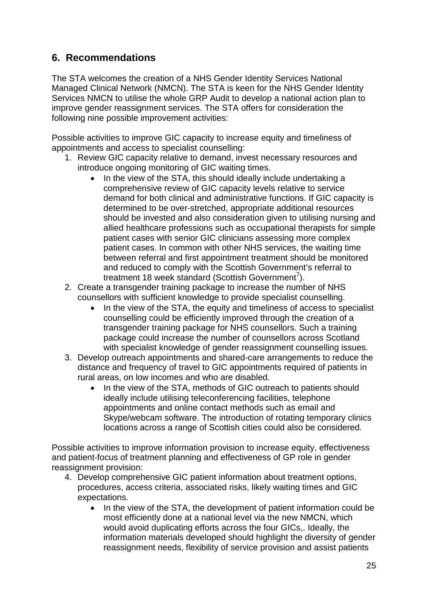## **6. Recommendations**

The STA welcomes the creation of a NHS Gender Identity Services National Managed Clinical Network (NMCN). The STA is keen for the NHS Gender Identity Services NMCN to utilise the whole GRP Audit to develop a national action plan to improve gender reassignment services. The STA offers for consideration the following nine possible improvement activities:

Possible activities to improve GIC capacity to increase equity and timeliness of appointments and access to specialist counselling:

- 1. Review GIC capacity relative to demand, invest necessary resources and introduce ongoing monitoring of GIC waiting times.
	- In the view of the STA, this should ideally include undertaking a comprehensive review of GIC capacity levels relative to service demand for both clinical and administrative functions. If GIC capacity is determined to be over-stretched, appropriate additional resources should be invested and also consideration given to utilising nursing and allied healthcare professions such as occupational therapists for simple patient cases with senior GIC clinicians assessing more complex patient cases. In common with other NHS services, the waiting time between referral and first appointment treatment should be monitored and reduced to comply with the Scottish Government's referral to treatment 18 week standard (Scottish Government<sup>7</sup>).
- 2. Create a transgender training package to increase the number of NHS counsellors with sufficient knowledge to provide specialist counselling.
	- In the view of the STA, the equity and timeliness of access to specialist counselling could be efficiently improved through the creation of a transgender training package for NHS counsellors. Such a training package could increase the number of counsellors across Scotland with specialist knowledge of gender reassignment counselling issues.
- 3. Develop outreach appointments and shared-care arrangements to reduce the distance and frequency of travel to GIC appointments required of patients in rural areas, on low incomes and who are disabled.
	- In the view of the STA, methods of GIC outreach to patients should ideally include utilising teleconferencing facilities, telephone appointments and online contact methods such as email and Skype/webcam software. The introduction of rotating temporary clinics locations across a range of Scottish cities could also be considered.

Possible activities to improve information provision to increase equity, effectiveness and patient-focus of treatment planning and effectiveness of GP role in gender reassignment provision:

- 4. Develop comprehensive GIC patient information about treatment options, procedures, access criteria, associated risks, likely waiting times and GIC expectations.
	- In the view of the STA, the development of patient information could be most efficiently done at a national level via the new NMCN, which would avoid duplicating efforts across the four GICs,. Ideally, the information materials developed should highlight the diversity of gender reassignment needs, flexibility of service provision and assist patients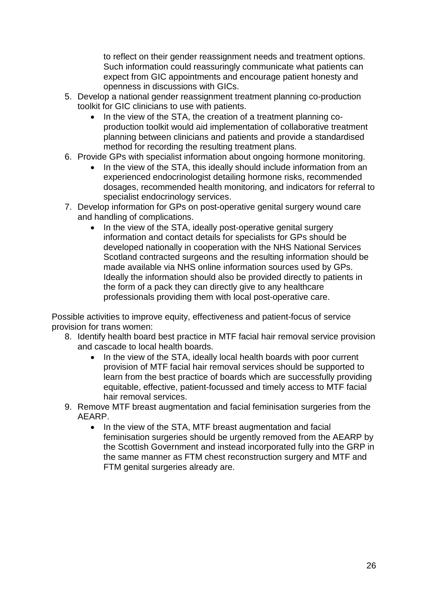to reflect on their gender reassignment needs and treatment options. Such information could reassuringly communicate what patients can expect from GIC appointments and encourage patient honesty and openness in discussions with GICs.

- 5. Develop a national gender reassignment treatment planning co-production toolkit for GIC clinicians to use with patients.
	- In the view of the STA, the creation of a treatment planning coproduction toolkit would aid implementation of collaborative treatment planning between clinicians and patients and provide a standardised method for recording the resulting treatment plans.
- 6. Provide GPs with specialist information about ongoing hormone monitoring.
	- In the view of the STA, this ideally should include information from an experienced endocrinologist detailing hormone risks, recommended dosages, recommended health monitoring, and indicators for referral to specialist endocrinology services.
- 7. Develop information for GPs on post-operative genital surgery wound care and handling of complications.
	- In the view of the STA, ideally post-operative genital surgery information and contact details for specialists for GPs should be developed nationally in cooperation with the NHS National Services Scotland contracted surgeons and the resulting information should be made available via NHS online information sources used by GPs. Ideally the information should also be provided directly to patients in the form of a pack they can directly give to any healthcare professionals providing them with local post-operative care.

Possible activities to improve equity, effectiveness and patient-focus of service provision for trans women:

- 8. Identify health board best practice in MTF facial hair removal service provision and cascade to local health boards.
	- In the view of the STA, ideally local health boards with poor current provision of MTF facial hair removal services should be supported to learn from the best practice of boards which are successfully providing equitable, effective, patient-focussed and timely access to MTF facial hair removal services.
- 9. Remove MTF breast augmentation and facial feminisation surgeries from the AEARP.
	- In the view of the STA, MTF breast augmentation and facial feminisation surgeries should be urgently removed from the AEARP by the Scottish Government and instead incorporated fully into the GRP in the same manner as FTM chest reconstruction surgery and MTF and FTM genital surgeries already are.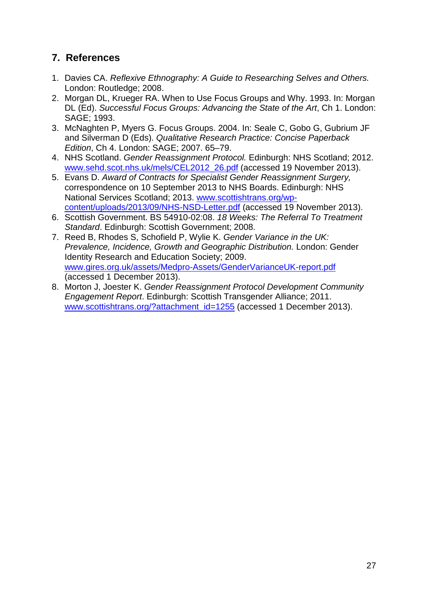## <span id="page-40-0"></span>**7. References**

- 1. Davies CA. *Reflexive Ethnography: A Guide to Researching Selves and Others.*  London: Routledge; 2008.
- 2. Morgan DL, Krueger RA. When to Use Focus Groups and Why. 1993. In: Morgan DL (Ed). *Successful Focus Groups: Advancing the State of the Art*, Ch 1. London: SAGE; 1993.
- 3. McNaghten P, Myers G. Focus Groups. 2004. In: Seale C, Gobo G, Gubrium JF and Silverman D (Eds). *Qualitative Research Practice: Concise Paperback Edition*, Ch 4. London: SAGE; 2007. 65–79.
- 4. NHS Scotland. *Gender Reassignment Protocol.* Edinburgh: NHS Scotland; 2012. [www.sehd.scot.nhs.uk/mels/CEL2012\\_26.pdf](http://www.sehd.scot.nhs.uk/mels/CEL2012_26.pdf) (accessed 19 November 2013).
- 5. Evans D. *Award of Contracts for Specialist Gender Reassignment Surgery,* correspondence on 10 September 2013 to NHS Boards. Edinburgh: NHS National Services Scotland; 2013. [www.scottishtrans.org/wp](http://www.scottishtrans.org/wp-content/uploads/2013/09/NHS-NSD-Letter.pdf)[content/uploads/2013/09/NHS-NSD-Letter.pdf](http://www.scottishtrans.org/wp-content/uploads/2013/09/NHS-NSD-Letter.pdf) (accessed 19 November 2013).
- 6. Scottish Government. BS 54910-02:08. *18 Weeks: The Referral To Treatment Standard*. Edinburgh: Scottish Government; 2008.
- 7. Reed B, Rhodes S, Schofield P, Wylie K. *Gender Variance in the UK: Prevalence, Incidence, Growth and Geographic Distribution.* London: Gender Identity Research and Education Society; 2009. [www.gires.org.uk/assets/Medpro-Assets/GenderVarianceUK-report.pdf](http://www.gires.org.uk/assets/Medpro-Assets/GenderVarianceUK-report.pdf) (accessed 1 December 2013).
- 8. Morton J, Joester K. *Gender Reassignment Protocol Development Community Engagement Report*. Edinburgh: Scottish Transgender Alliance; 2011. [www.scottishtrans.org/?attachment\\_id=1255](http://www.scottishtrans.org/?attachment_id=1255) (accessed 1 December 2013).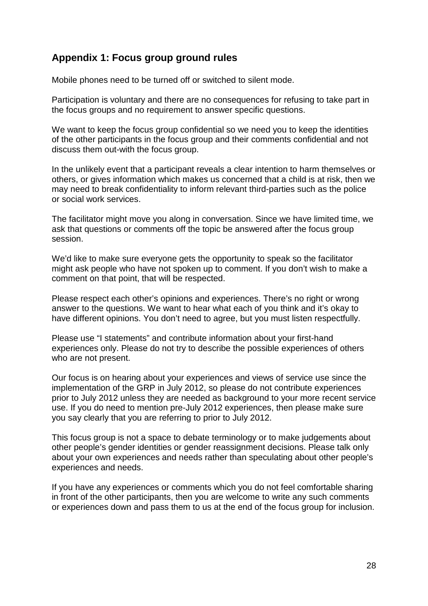## <span id="page-41-0"></span>**Appendix 1: Focus group ground rules**

Mobile phones need to be turned off or switched to silent mode.

Participation is voluntary and there are no consequences for refusing to take part in the focus groups and no requirement to answer specific questions.

We want to keep the focus group confidential so we need you to keep the identities of the other participants in the focus group and their comments confidential and not discuss them out-with the focus group.

In the unlikely event that a participant reveals a clear intention to harm themselves or others, or gives information which makes us concerned that a child is at risk, then we may need to break confidentiality to inform relevant third-parties such as the police or social work services.

The facilitator might move you along in conversation. Since we have limited time, we ask that questions or comments off the topic be answered after the focus group session.

We'd like to make sure everyone gets the opportunity to speak so the facilitator might ask people who have not spoken up to comment. If you don't wish to make a comment on that point, that will be respected.

Please respect each other's opinions and experiences. There's no right or wrong answer to the questions. We want to hear what each of you think and it's okay to have different opinions. You don't need to agree, but you must listen respectfully.

Please use "I statements" and contribute information about your first-hand experiences only. Please do not try to describe the possible experiences of others who are not present.

Our focus is on hearing about your experiences and views of service use since the implementation of the GRP in July 2012, so please do not contribute experiences prior to July 2012 unless they are needed as background to your more recent service use. If you do need to mention pre-July 2012 experiences, then please make sure you say clearly that you are referring to prior to July 2012.

This focus group is not a space to debate terminology or to make judgements about other people's gender identities or gender reassignment decisions. Please talk only about your own experiences and needs rather than speculating about other people's experiences and needs.

If you have any experiences or comments which you do not feel comfortable sharing in front of the other participants, then you are welcome to write any such comments or experiences down and pass them to us at the end of the focus group for inclusion.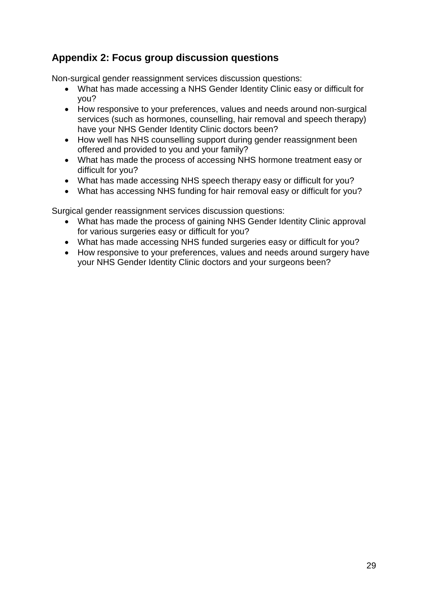## <span id="page-42-0"></span>**Appendix 2: Focus group discussion questions**

Non-surgical gender reassignment services discussion questions:

- What has made accessing a NHS Gender Identity Clinic easy or difficult for you?
- How responsive to your preferences, values and needs around non-surgical services (such as hormones, counselling, hair removal and speech therapy) have your NHS Gender Identity Clinic doctors been?
- How well has NHS counselling support during gender reassignment been offered and provided to you and your family?
- What has made the process of accessing NHS hormone treatment easy or difficult for you?
- What has made accessing NHS speech therapy easy or difficult for you?
- What has accessing NHS funding for hair removal easy or difficult for you?

Surgical gender reassignment services discussion questions:

- What has made the process of gaining NHS Gender Identity Clinic approval for various surgeries easy or difficult for you?
- What has made accessing NHS funded surgeries easy or difficult for you?
- How responsive to your preferences, values and needs around surgery have your NHS Gender Identity Clinic doctors and your surgeons been?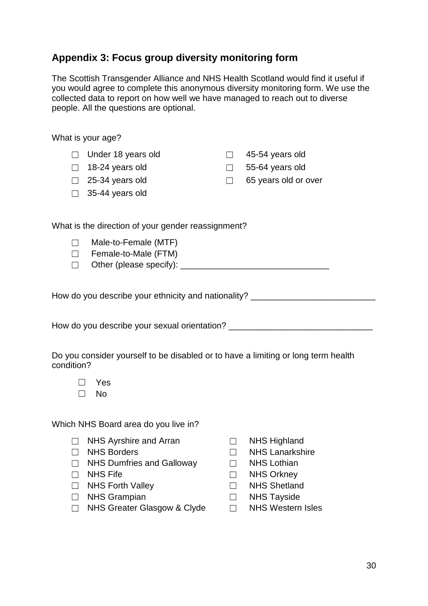## <span id="page-43-0"></span>**Appendix 3: Focus group diversity monitoring form**

The Scottish Transgender Alliance and NHS Health Scotland would find it useful if you would agree to complete this anonymous diversity monitoring form. We use the collected data to report on how well we have managed to reach out to diverse people. All the questions are optional.

|                                                     | What is your age?  |        |                        |
|-----------------------------------------------------|--------------------|--------|------------------------|
|                                                     | Under 18 years old | $\Box$ | 45-54 years old        |
| $\mathbf{L}$                                        | 18-24 years old    |        | $\Box$ 55-64 years old |
| $\Box$                                              | 25-34 years old    | П      | 65 years old or over   |
|                                                     | 35-44 years old    |        |                        |
| What is the direction of your gender reassignment?  |                    |        |                        |
| Male-to-Female (MTF)<br>Female-to-Male (FTM)        |                    |        |                        |
| How do you describe your ethnicity and nationality? |                    |        |                        |
| How do you describe your sexual orientation?        |                    |        |                        |

| Do you consider yourself to be disabled or to have a limiting or long term health |  |  |
|-----------------------------------------------------------------------------------|--|--|
| condition?                                                                        |  |  |

☐ No

Which NHS Board area do you live in?

- ☐ NHS Ayrshire and Arran ☐ NHS Highland
- 
- ☐ NHS Dumfries and Galloway ☐ NHS Lothian
- 
- ☐ NHS Forth Valley ☐ NHS Shetland
- ☐ NHS Grampian ☐ NHS Tayside
- ☐ NHS Greater Glasgow & Clyde ☐ NHS Western Isles
- 
- ☐ NHS Borders ☐ NHS Lanarkshire
	-
- ☐ NHS Fife ☐ NHS Orkney
	-
	-
	-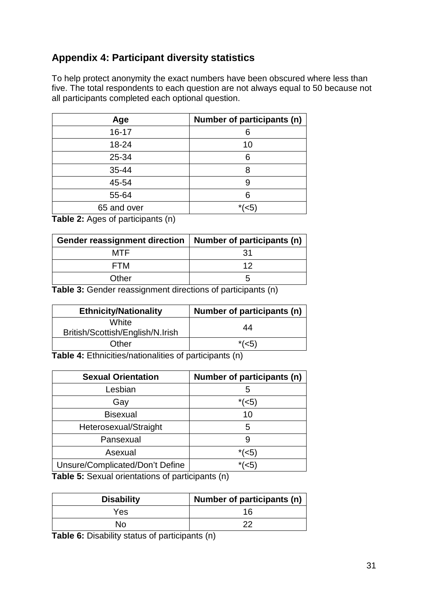## <span id="page-44-0"></span>**Appendix 4: Participant diversity statistics**

To help protect anonymity the exact numbers have been obscured where less than five. The total respondents to each question are not always equal to 50 because not all participants completed each optional question.

| Age         | Number of participants (n) |
|-------------|----------------------------|
| $16 - 17$   | 6                          |
| 18-24       | 10                         |
| 25-34       | 6                          |
| 35-44       | 8                          |
| 45-54       | 9                          |
| 55-64       | 6                          |
| 65 and over | $*(5)$                     |

**Table 2:** Ages of participants (n)

| Gender reassignment direction   Number of participants (n) |     |
|------------------------------------------------------------|-----|
| MTF                                                        | -31 |
| FTM                                                        | ィク  |
| Other                                                      |     |

**Table 3:** Gender reassignment directions of participants (n)

| <b>Ethnicity/Nationality</b>                                         | Number of participants (n) |  |
|----------------------------------------------------------------------|----------------------------|--|
| White<br>British/Scottish/English/N.Irish                            | 44                         |  |
| Other                                                                | $*(5)$                     |  |
| $\tau$ ekle 4. $\Gamma$ thniaitice/notionalities of nortiainonte (n) |                            |  |

**Table 4:** Ethnicities/nationalities of participants (n)

| <b>Sexual Orientation</b>       | Number of participants (n) |
|---------------------------------|----------------------------|
| Lesbian                         | ٠h                         |
| Gay                             | $*(5)$                     |
| <b>Bisexual</b>                 | 10                         |
| Heterosexual/Straight           | 5                          |
| Pansexual                       |                            |
| Asexual                         | $*(5)$                     |
| Unsure/Complicated/Don't Define | $*(5)$                     |

**Table 5:** Sexual orientations of participants (n)

| <b>Disability</b> | Number of participants (n) |
|-------------------|----------------------------|
| Yes               | 16                         |
| No                | מר                         |

**Table 6:** Disability status of participants (n)